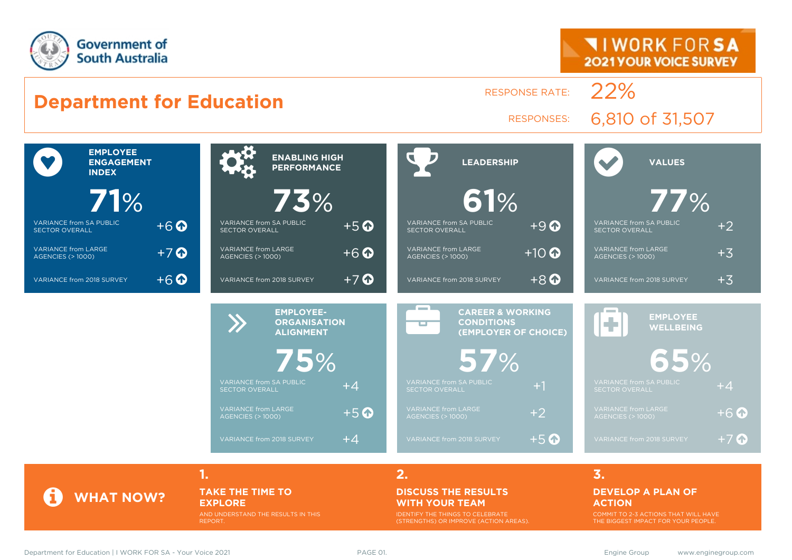

# **Department for Education** RESPONSE RATE: 22%

RESPONSES: 6,810 of 31,507



**TAKE THE TIME TO EXPLORE** AND UNDERSTAND THE RESULTS IN THIS

REPORT.

#### **DISCUSS THE RESULTS WITH YOUR TEAM**

IDENTIFY THE THINGS TO CELEBRATE (STRENGTHS) OR IMPROVE (ACTION AREAS).

### **DEVELOP A PLAN OF ACTION**

COMMIT TO 2-3 ACTIONS THAT WILL HAVE THE BIGGEST IMPACT FOR YOUR PEOPLE.

**WHAT NOW?**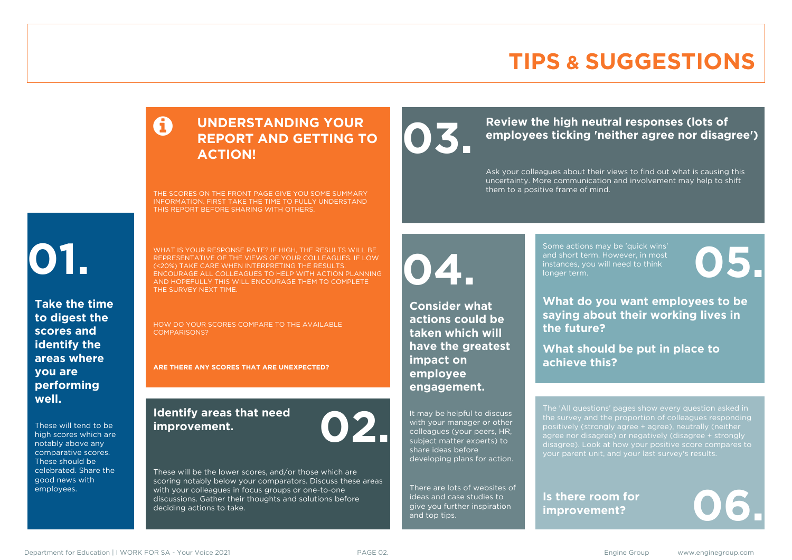# **TIPS & SUGGESTIONS**

### **UNDERSTANDING YOUR REPORT AND GETTING TO ACTION!**

THE SCORES ON THE FRONT PAGE GIVE YOU SOME SUMMARY INFORMATION. FIRST TAKE THE TIME TO FULLY UNDERSTAND THIS REPORT BEFORE SHARING WITH OTHERS.

# **01.**

**Take the time to digest the scores and identify the areas where you are performing well.**

These will tend to be high scores which are notably above any comparative scores. These should be celebrated. Share the good news with employees.

WHAT IS YOUR RESPONSE RATE? IF HIGH, THE RESULTS WILL BE REPRESENTATIVE OF THE VIEWS OF YOUR COLLEAGUES. IF LOW (<20%) TAKE CARE WHEN INTERPRETING THE RESULTS. ENCOURAGE ALL COLLEAGUES TO HELP WITH ACTION PLANNING AND HOPEFULLY THIS WILL ENCOURAGE THEM TO COMPLETE THE SURVEY NEXT TIME.

HOW DO YOUR SCORES COMPARE TO THE AVAILABLE COMPARISONS?

**ARE THERE ANY SCORES THAT ARE UNEXPECTED?**

### **Identify areas that need improvement. 02.**

These will be the lower scores, and/or those which are scoring notably below your comparators. Discuss these areas with your colleagues in focus groups or one-to-one discussions. Gather their thoughts and solutions before deciding actions to take.

**04.**

**impact on employee engagement.**

**Consider what actions could be taken which will have the greatest** 

It may be helpful to discuss with your manager or other colleagues (your peers, HR, subject matter experts) to share ideas before

developing plans for action.

There are lots of websites of ideas and case studies to give you further inspiration

and top tips.

Review the high neutral responses (lots of employees ticking 'neither agree nor disag **employees ticking 'neither agree nor disagree')**

> Ask your colleagues about their views to find out what is causing this uncertainty. More communication and involvement may help to shift them to a positive frame of mind.

> > Some actions may be 'quick wins' and short term. However, in most instances, you will need to think Some actions may be 'quick wins'<br>and short term. However, in most<br>instances, you will need to think<br>longer term.

**What do you want employees to be saying about their working lives in the future?**

**What should be put in place to achieve this?**

The 'All questions' pages show every question asked in positively (strongly agree + agree), neutrally (neither agree nor disagree) or negatively (disagree + strongly disagree). Look at how your positive score compares to your parent unit, and your last survey's results.

**Is there room for** 

Is there room for<br>improvement?

### Department for Education | I WORK FOR SA - Your Voice 2021 **PAGE 02.** PAGE 02. Engine Group www.enginegroup.com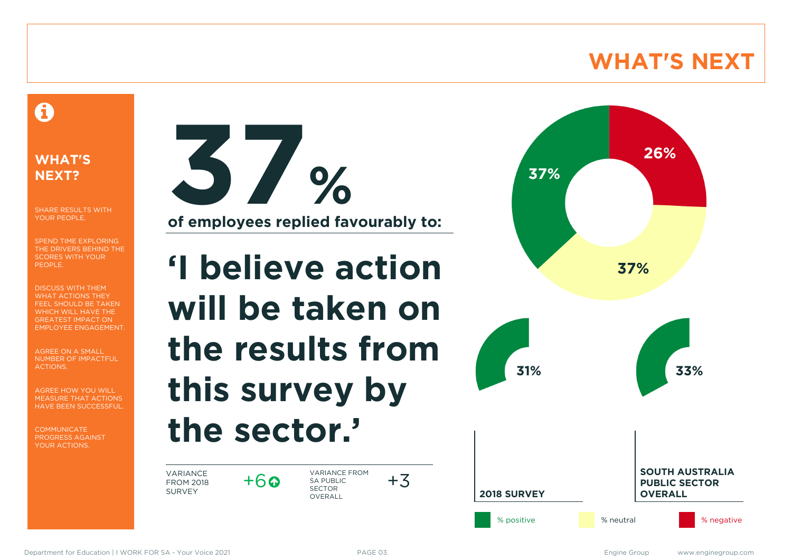# **WHAT'S NEXT**

### A

### **WHAT'S NEXT?**

SHARE RESULTS WITH YOUR PEOPLE.

SPEND TIME EXPLORING THE DRIVERS BEHIND THE SCORES WITH YOUR PEOPLE.

DISCUSS WITH THEM WHAT ACTIONS THEY FEEL SHOULD BE TAKEN WHICH WILL HAVE THE GREATEST IMPACT ON EMPLOYEE ENGAGEMENT.

AGREE ON A SMALL NUMBER OF IMPACTFUL ACTIONS.

AGREE HOW YOU WILL MEASURE THAT ACTIONS HAVE BEEN SUCCESSFUL.

**COMMUNICATE** PROGRESS AGAINST YOUR ACTIONS.



**of employees replied favourably to:**

# **'I believe action will be taken on the results from this survey by the sector.'**

VARIANCE FROM 2018 SURVEY

 $+6$ 

VARIANCE FROM SA PUBLIC SECTOR **OVERALL** 



 $+3$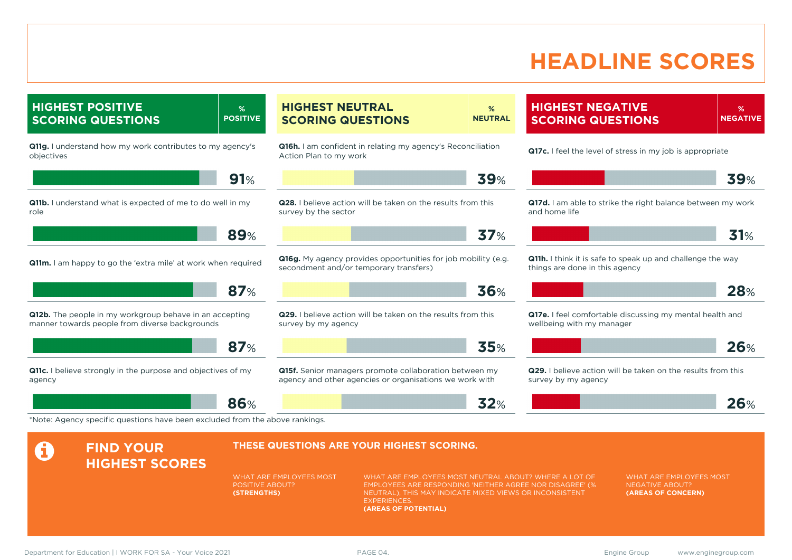# **HEADLINE SCORES**

**HIGHEST POSITIVE SCORING QUESTIONS % POSITIVE Q11g.** I understand how my work contributes to my agency's objectives **91**% **Q11b.** I understand what is expected of me to do well in my role **89**% **Q11m.** I am happy to go the 'extra mile' at work when required **87**% **Q12b.** The people in my workgroup behave in an accepting manner towards people from diverse backgrounds **87**% **Q11c.** I believe strongly in the purpose and objectives of my agency **86**% **HIGHEST NEUTRAL SCORING QUESTIONS % NEUTRAL Q16h.** I am confident in relating my agency's Reconciliation Action Plan to my work **39**% **Q28.** I believe action will be taken on the results from this survey by the sector **37**% **Q16g.** My agency provides opportunities for job mobility (e.g. secondment and/or temporary transfers) **36**% **Q29.** I believe action will be taken on the results from this survey by my agency **35**% **Q15f.** Senior managers promote collaboration between my agency and other agencies or organisations we work with **32**% **HIGHEST NEGATIVE SCORING QUESTIONS % NEGATIVE Q17c.** I feel the level of stress in my job is appropriate **39**% **Q17d.** I am able to strike the right balance between my work and home life **31**% **Q11h.** I think it is safe to speak up and challenge the way things are done in this agency **28**% **Q17e.** I feel comfortable discussing my mental health and wellbeing with my manager **26**% **Q29.** I believe action will be taken on the results from this survey by my agency **26**% \*Note: Agency specific questions have been excluded from the above rankings. **A** FIND YOUR **HIGHEST SCORES THESE QUESTIONS ARE YOUR HIGHEST SCORING.** WHAT ARE EMPLOYEES MOST POSITIVE ABOUT? **(STRENGTHS)** WHAT ARE EMPLOYEES MOST NEUTRAL ABOUT? WHERE A LOT OF EMPLOYEES ARE RESPONDING 'NEITHER AGREE NOR DISAGREE' (% NEUTRAL), THIS MAY INDICATE MIXED VIEWS OR INCONSISTENT **EXPERIENCES (AREAS OF POTENTIAL)** WHAT ARE EMPLOYEES MOST NEGATIVE ABOUT? **(AREAS OF CONCERN)**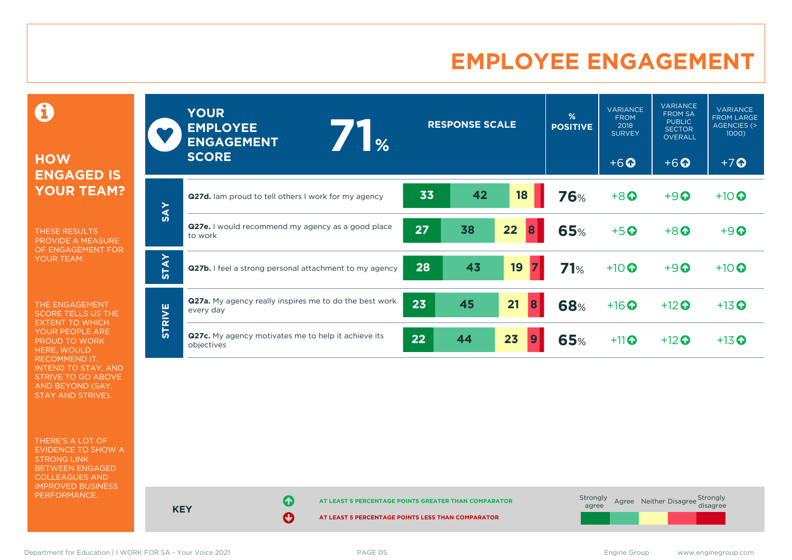# **EMPLOYEE ENGAGEMENT**

0

### **HOW ENGAGED IS YOUR TEAM?**

THESE RESULTS PROVIDE A MEASURE OF ENGAGEMENT FOR YOUR TEAM.

THE ENGAGEMENT SCORE TELLS US THE EXTENT TO WHICH YOUR PEOPLE ARE PROUD TO WORK HERE, WOULD RECOMMEND IT, INTEND TO STAY, AND STRIVE TO GO ABOVE AND BEYOND (SAY, STAY AND STRIVE).

THERE'S A LOT OF EVIDENCE TO SHOW A STRONG LINK BETWEEN ENGAGED COLLEAGUES AND IMPROVED BUSINESS PERFORMANCE.

|               | <b>YOUR</b><br><b>EMPLOYEE</b><br>$\mathbf{I}_{\infty}$<br><b>ENGAGEMENT</b><br><b>SCORE</b> |    | <b>RESPONSE SCALE</b> |         | %<br><b>POSITIVE</b> | <b>VARIANCE</b><br><b>FROM</b><br>2018<br><b>SURVEY</b><br>$+6$ | <b>VARIANCE</b><br><b>FROM SA</b><br><b>PUBLIC</b><br><b>SECTOR</b><br><b>OVERALL</b><br>$+6$ <sup><math>\odot</math></sup> | <b>VARIANCE</b><br><b>FROM LARGE</b><br><b>AGENCIES (&gt;</b><br>1000)<br>$+7$ $\odot$ |
|---------------|----------------------------------------------------------------------------------------------|----|-----------------------|---------|----------------------|-----------------------------------------------------------------|-----------------------------------------------------------------------------------------------------------------------------|----------------------------------------------------------------------------------------|
|               | Q27d. Iam proud to tell others I work for my agency                                          | 33 | 42                    | 18      | <b>76%</b>           | $+8$ <sup><math>\odot</math></sup>                              | $+9$                                                                                                                        | $+10$ <sup>O</sup>                                                                     |
| <b>TAS</b>    | Q27e. I would recommend my agency as a good place<br>to work                                 | 27 | 38                    | 22<br>8 | <b>65%</b>           | $+5$ <sup>O</sup>                                               | $+8$ <sup><math>\odot</math></sup>                                                                                          | $+9$ $\odot$                                                                           |
| <b>STAY</b>   | Q27b. I feel a strong personal attachment to my agency                                       | 28 | 43                    | 19      | 71%                  | $+10$ <sup>O</sup>                                              | $+9$ <sup><math>\odot</math></sup>                                                                                          | $+10$ <sup>O</sup>                                                                     |
| <b>STRIVE</b> | Q27a. My agency really inspires me to do the best work<br>every day                          | 23 | 45                    | 21<br>8 | <b>68%</b>           | $+16$                                                           | $+12$ <sup>O</sup>                                                                                                          | $+13$ <sup>O</sup>                                                                     |
|               | Q27c. My agency motivates me to help it achieve its<br>objectives                            | 22 | 44                    | 23<br>9 | <b>65%</b>           | $+11$ <sup>O</sup>                                              | $+12$                                                                                                                       | $+13$ <sup>O</sup>                                                                     |

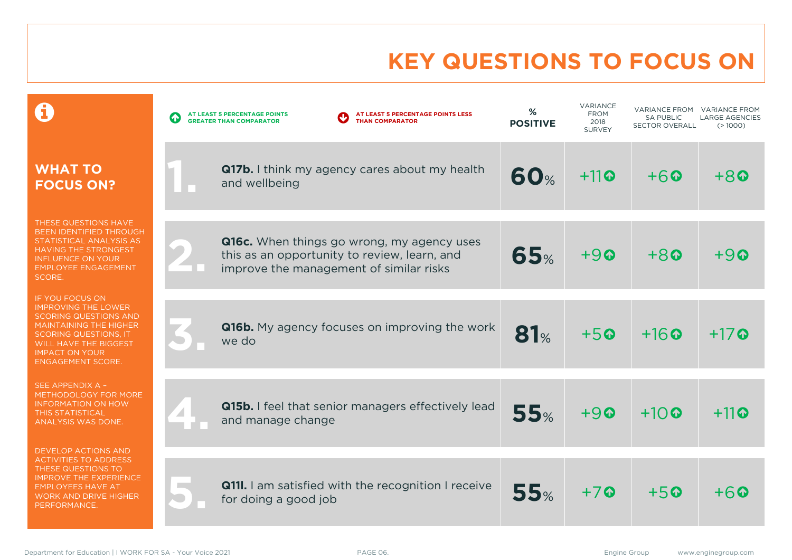# **KEY QUESTIONS TO FOCUS ON**

|                                                                                                                                                                                                                                     | AT LEAST 5 PERCENTAGE POINTS LESS<br>AT LEAST 5 PERCENTAGE POINTS<br>$\spadesuit$<br><b>THAN COMPARATOR</b><br><b>GREATER THAN COMPARATOR</b> | %<br><b>POSITIVE</b> | VARIANCE<br><b>FROM</b><br>2018<br><b>SURVEY</b> | <b>VARIANCE FROM</b><br><b>SA PUBLIC</b><br><b>SECTOR OVERALL</b> | <b>VARIANCE FROM</b><br><b>LARGE AGENCIES</b><br>(>1000) |
|-------------------------------------------------------------------------------------------------------------------------------------------------------------------------------------------------------------------------------------|-----------------------------------------------------------------------------------------------------------------------------------------------|----------------------|--------------------------------------------------|-------------------------------------------------------------------|----------------------------------------------------------|
| <b>WHAT TO</b><br><b>FOCUS ON?</b>                                                                                                                                                                                                  | <b>Q17b.</b> I think my agency cares about my health<br>and wellbeing                                                                         | <b>60%</b>           | $+11$ <sup>o</sup>                               | $+6$                                                              | $+8$                                                     |
| THESE QUESTIONS HAVE<br><b>BEEN IDENTIFIED THROUGH</b><br>STATISTICAL ANALYSIS AS<br><b>HAVING THE STRONGEST</b><br><b>INFLUENCE ON YOUR</b><br><b>EMPLOYEE ENGAGEMENT</b><br>SCORE.                                                | Q16c. When things go wrong, my agency uses<br>this as an opportunity to review, learn, and<br>improve the management of similar risks         | 65%                  | $+90$                                            | $+8$                                                              | $+9$                                                     |
| IF YOU FOCUS ON<br><b>IMPROVING THE LOWER</b><br><b>SCORING QUESTIONS AND</b><br><b>MAINTAINING THE HIGHER</b><br><b>SCORING QUESTIONS, IT</b><br><b>WILL HAVE THE BIGGEST</b><br><b>IMPACT ON YOUR</b><br><b>ENGAGEMENT SCORE.</b> | Q16b. My agency focuses on improving the work<br>we do                                                                                        | 81%                  | $+50$                                            | $+16$ <sup><math>\odot</math></sup>                               | $+17$ Q                                                  |
| SEE APPENDIX A -<br>METHODOLOGY FOR MORE<br><b>INFORMATION ON HOW</b><br><b>THIS STATISTICAL</b><br>ANALYSIS WAS DONE.                                                                                                              | Q15b. I feel that senior managers effectively lead<br>and manage change                                                                       | 55%                  | $+90$                                            | $+10$ <sup><math>\odot</math></sup>                               | $+11$ <sup><math>\odot</math></sup>                      |
| <b>DEVELOP ACTIONS AND</b><br><b>ACTIVITIES TO ADDRESS</b><br>THESE QUESTIONS TO<br><b>IMPROVE THE EXPERIENCE</b><br><b>EMPLOYEES HAVE AT</b><br><b>WORK AND DRIVE HIGHER</b><br>PERFORMANCE.                                       | <b>Q111.</b> I am satisfied with the recognition I receive<br>for doing a good job                                                            | 55%                  | $+7$                                             | $+50$                                                             | $+6$ 0                                                   |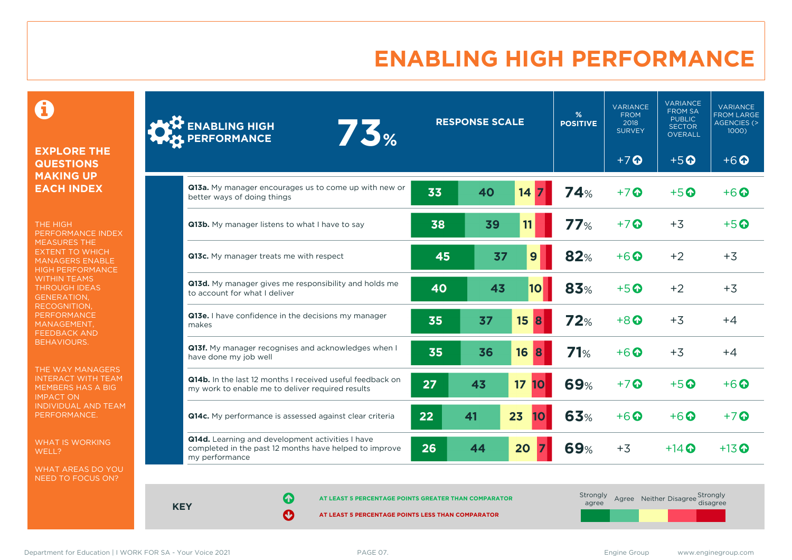# **ENABLING HIGH PERFORMANCE**

 $\mathbf \Theta$ 

### **EXPLORE THE QUESTIONS MAKING UP EACH INDEX**

THE HIGH PERFORMANCE INDEX MEASURES THE EXTENT TO WHICH MANAGERS ENABLE HIGH PERFORMANCE WITHIN TEAMS THROUGH IDEAS GENERATION, RECOGNITION, **PERFORMANCE** MANAGEMENT, FEEDBACK AND BEHAVIOURS.

THE WAY MANAGERS INTERACT WITH TEAM MEMBERS HAS A BIG IMPACT ON INDIVIDUAL AND TEAM PERFORMANCE.

WHAT IS WORKING WELL?

WHAT AREAS DO YOU NEED TO FOCUS ON?

| <b>ENABLING HIGH</b><br>73%<br><b>PERFORMANCE</b>                                                                            |                 | <b>RESPONSE SCALE</b> |          |            | <b>VARIANCE</b><br><b>FROM</b><br>2018<br><b>SURVEY</b> | <b>VARIANCE</b><br><b>FROM SA</b><br><b>PUBLIC</b><br><b>SECTOR</b><br>OVERALL | <b>VARIANCE</b><br><b>FROM LARGE</b><br><b>AGENCIES (&gt;</b><br>1000) |
|------------------------------------------------------------------------------------------------------------------------------|-----------------|-----------------------|----------|------------|---------------------------------------------------------|--------------------------------------------------------------------------------|------------------------------------------------------------------------|
|                                                                                                                              |                 |                       |          |            | $+7$ $\odot$                                            | $+5$ <sup><math>\odot</math></sup>                                             | $+6$ $\odot$                                                           |
| Q13a. My manager encourages us to come up with new or<br>better ways of doing things                                         | 33              | 40                    | 14       | 74%        | $+7$ $\odot$                                            | $+5$ <sup><math>\odot</math></sup>                                             | $+6$ $\odot$                                                           |
| Q13b. My manager listens to what I have to say                                                                               | 38              | 39                    | 11       | 77%        | $+7$ $\odot$                                            | $+3$                                                                           | $+5$ $\odot$                                                           |
| Q13c. My manager treats me with respect                                                                                      | 45              | 37                    | 9        | 82%        | $+6$ $\odot$                                            | $+2$                                                                           | $+3$                                                                   |
| Q13d. My manager gives me responsibility and holds me<br>to account for what I deliver                                       | 40              | 43                    | 10       | 83%        | $+5$ <sup>O</sup>                                       | $+2$                                                                           | $+3$                                                                   |
| Q13e. I have confidence in the decisions my manager<br>makes                                                                 | 35              | 37                    | 15<br>8  | 72%        | $+8$ <sup><math>\Omega</math></sup>                     | $+3$                                                                           | $+4$                                                                   |
| Q13f. My manager recognises and acknowledges when I<br>have done my job well                                                 | 35              | 36                    | 16<br>8  | 71%        | $+6$ $\odot$                                            | $+3$                                                                           | $+4$                                                                   |
| Q14b. In the last 12 months I received useful feedback on<br>my work to enable me to deliver required results                | 27              | 43                    | 17<br>10 | <b>69%</b> | $+7$ $\odot$                                            | $+5$ $\odot$                                                                   | $+6$ $\odot$                                                           |
| Q14c. My performance is assessed against clear criteria                                                                      | 22 <sub>2</sub> | 41                    | 23<br>10 | 63%        | $+6$ $\odot$                                            | $+6$ $\odot$                                                                   | $+7$ $\odot$                                                           |
| Q14d. Learning and development activities I have<br>completed in the past 12 months have helped to improve<br>my performance | 26              | 44                    | 20       | <b>69%</b> | $+3$                                                    | $+14$ $\odot$                                                                  | $+13$ <sup>O</sup>                                                     |

**KEY**

**AT LEAST 5 PERCENTAGE POINTS GREATER THAN COMPARATOR** 

| Strongly<br>agree |  | Agree Neither Disagree Strongly<br>disagree |  |
|-------------------|--|---------------------------------------------|--|
|                   |  |                                             |  |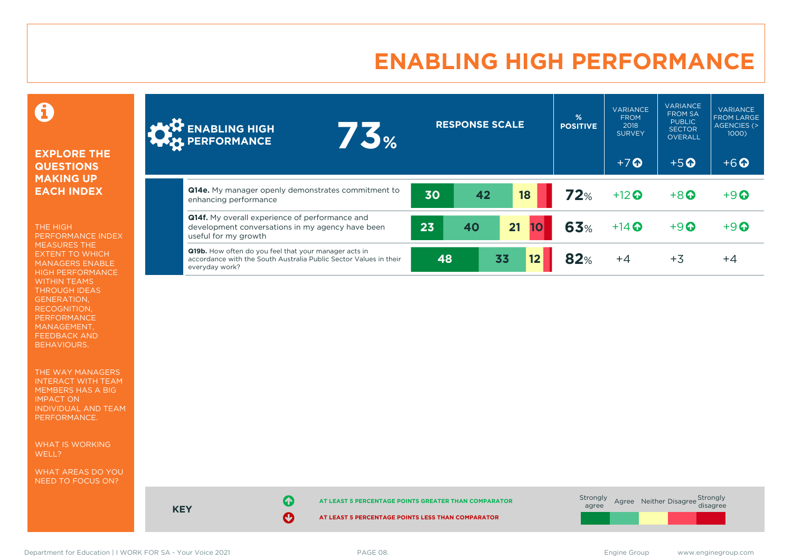# **ENABLING HIGH PERFORMANCE**

0

#### **EXPLORE THE QUESTIONS MAKING UP EACH INDEX**

THE HIGH PERFORMANCE INDEX MEASURES THE EXTENT TO WHICH MANAGERS ENABLE HIGH PERFORMANCE WITHIN TEAMS THROUGH IDEAS GENERATION, RECOGNITION, PERFORMANCE MANAGEMENT, FEEDBACK AND BEHAVIOURS.

THE WAY MANAGERS INTERACT WITH TEAM MEMBERS HAS A BIG IMPACT ON INDIVIDUAL AND TEAM PERFORMANCE.

WHAT IS WORKING WELL?

WHAT AREAS DO YOU NEED TO FOCUS ON?

| <b>AND ENABLING HIGH</b>                                                                                                                            | 75% |    | <b>RESPONSE SCALE</b> |    |                 | %<br><b>POSITIVE</b> | <b>VARIANCE</b><br><b>FROM</b><br>2018<br><b>SURVEY</b><br>$+7$ $\odot$ | <b>VARIANCE</b><br><b>FROM SA</b><br><b>PUBLIC</b><br><b>SECTOR</b><br><b>OVERALL</b><br>$+5$ <sup><math>\Omega</math></sup> | <b>VARIANCE</b><br><b>FROM LARGE</b><br>AGENCIES (><br>1000)<br>$+6$ <sup><math>\odot</math></sup> |
|-----------------------------------------------------------------------------------------------------------------------------------------------------|-----|----|-----------------------|----|-----------------|----------------------|-------------------------------------------------------------------------|------------------------------------------------------------------------------------------------------------------------------|----------------------------------------------------------------------------------------------------|
| Q14e. My manager openly demonstrates commitment to<br>enhancing performance                                                                         |     | 30 | 42                    | 18 |                 | 72%                  | $+12$ <sup>O</sup>                                                      | $+8$ <sup><math>\odot</math></sup>                                                                                           | $+9$ <sup><math>\odot</math></sup>                                                                 |
| <b>Q14f.</b> My overall experience of performance and<br>development conversations in my agency have been<br>useful for my growth                   |     | 23 | 40                    | 21 | 10              | <b>63%</b>           | $+14$ $\odot$                                                           | $+9$ <sup><math>\odot</math></sup>                                                                                           | $+9$ <sup><math>\odot</math></sup>                                                                 |
| <b>Q19b.</b> How often do you feel that your manager acts in<br>accordance with the South Australia Public Sector Values in their<br>everyday work? |     | 48 |                       | 33 | 12 <sub>2</sub> | 82%                  | $+4$                                                                    | $+3$                                                                                                                         | $+4$                                                                                               |



**KEY**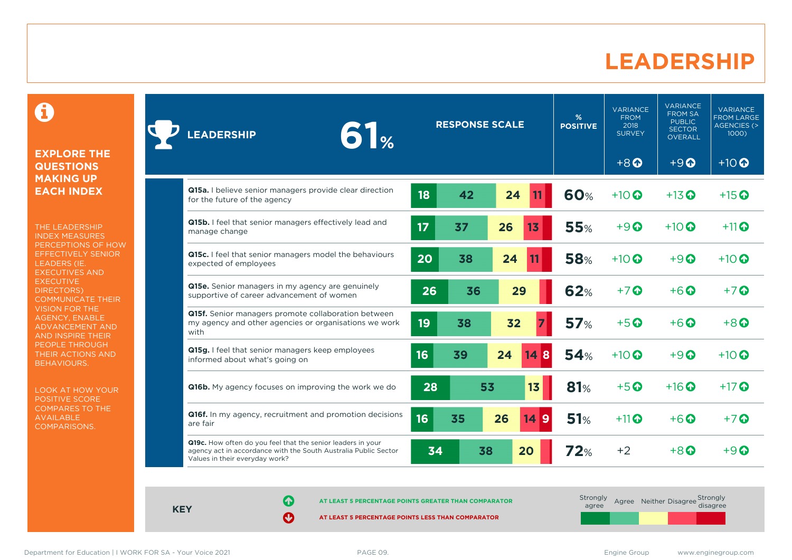### **LEADERSHIP**

0

### **EXPLORE THE QUESTIONS MAKING UP EACH INDEX**

THE LEADERSHIP INDEX MEASURES PERCEPTIONS OF HOW EFFECTIVELY SENIOR LEADERS (IE. EXECUTIVES AND **EXECUTIVE** DIRECTORS) COMMUNICATE THEIR VISION FOR THE AGENCY, ENABLE ADVANCEMENT AND AND INSPIRE THEIR PEOPLE THROUGH THEIR ACTIONS AND BEHAVIOURS.

LOOK AT HOW YOUR POSITIVE SCORE COMPARES TO THE AVAILABLE COMPARISONS.

| 3 <sub>8</sub><br><b>LEADERSHIP</b>                                                                                                                              | <b>RESPONSE SCALE</b> |    | %<br><b>POSITIVE</b> | <b>VARIANCE</b><br><b>FROM</b><br>2018<br><b>SURVEY</b> | <b>VARIANCE</b><br><b>FROM SA</b><br><b>PUBLIC</b><br><b>SECTOR</b><br><b>OVERALL</b> | <b>VARIANCE</b><br><b>FROM LARGE</b><br><b>AGENCIES (&gt;</b><br>1000) |                                     |                                    |
|------------------------------------------------------------------------------------------------------------------------------------------------------------------|-----------------------|----|----------------------|---------------------------------------------------------|---------------------------------------------------------------------------------------|------------------------------------------------------------------------|-------------------------------------|------------------------------------|
|                                                                                                                                                                  |                       |    |                      |                                                         |                                                                                       | $+8$ $\Omega$                                                          | $+9$                                | $+10$ <sup>O</sup>                 |
| Q15a. I believe senior managers provide clear direction<br>for the future of the agency                                                                          | 18                    | 42 | 24                   |                                                         | <b>60%</b>                                                                            | $+10$                                                                  | $+13$ <sup>O</sup>                  | $+15$ <sup>O</sup>                 |
| Q15b. I feel that senior managers effectively lead and<br>manage change                                                                                          | 17                    | 37 | 26                   | 1 <sub>3</sub>                                          | <b>55%</b>                                                                            | $+9$ $\Omega$                                                          | $+10$ $\odot$                       | $+11$                              |
| Q15c. I feel that senior managers model the behaviours<br>expected of employees                                                                                  | 20                    | 38 | 24                   |                                                         | <b>58%</b>                                                                            | $+10$ $\odot$                                                          | $+9$ $\odot$                        | $+10$ $\odot$                      |
| <b>Q15e.</b> Senior managers in my agency are genuinely<br>supportive of career advancement of women                                                             | 26                    | 36 |                      | 29                                                      | <b>62%</b>                                                                            | $+7$                                                                   | $+6\Omega$                          | $+7$ $\odot$                       |
| Q15f. Senior managers promote collaboration between<br>my agency and other agencies or organisations we work<br>with                                             | 19                    | 38 | 32                   |                                                         | 57%                                                                                   | $+5$ $\odot$                                                           | $+6$ $\odot$                        | $+8$ <sup><math>\odot</math></sup> |
| Q15g. I feel that senior managers keep employees<br>informed about what's going on                                                                               | 16                    | 39 | 24                   | 148                                                     | 54%                                                                                   | $+10$ $\odot$                                                          | $+9$ $\odot$                        | $+10$ $\odot$                      |
| <b>Q16b.</b> My agency focuses on improving the work we do                                                                                                       | 28                    |    | 53                   | 13                                                      | 81%                                                                                   | $+5$ <sup><math>\odot</math></sup>                                     | $+16$ <sup><math>\odot</math></sup> | $+17$ $\odot$                      |
| Q16f. In my agency, recruitment and promotion decisions<br>are fair                                                                                              | 16                    | 35 | 26                   | 14<br>$\boldsymbol{9}$                                  | 51%                                                                                   | $+11$                                                                  | $+6$ $\odot$                        | $+7$ $\odot$                       |
| Q19c. How often do you feel that the senior leaders in your<br>agency act in accordance with the South Australia Public Sector<br>Values in their everyday work? | 34                    |    | 38                   | 20                                                      | 72%                                                                                   | $+2$                                                                   | $+8$ $\odot$                        | $+9$ $\odot$                       |

**KEY**

**AT LEAST 5 PERCENTAGE POINTS GREATER THAN COMPARATOR** 

| Strongly<br>agree | Agree Neither Disagree Strongly<br>disagree |  |
|-------------------|---------------------------------------------|--|
|                   |                                             |  |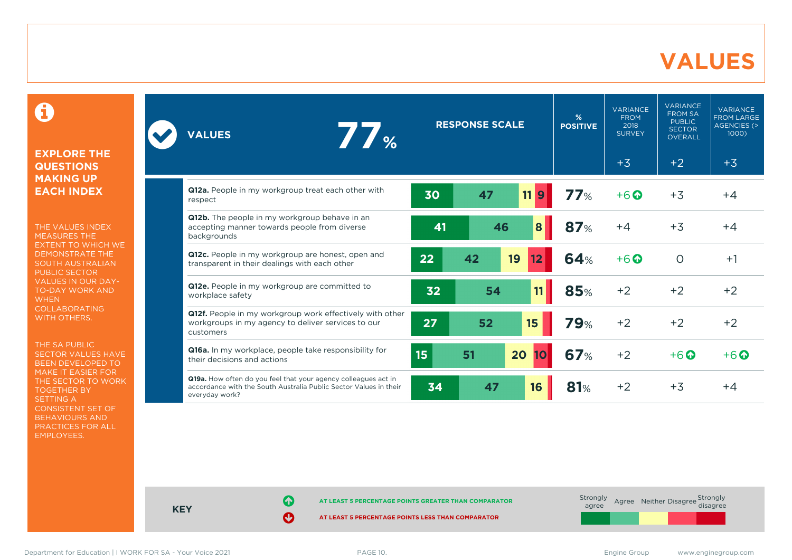### **VALUES**

0

#### **EXPLORE THE QUESTIONS MAKING UP EACH INDEX**

THE VALUES INDEX MEASURES THE EXTENT TO WHICH WE DEMONSTRATE THE SOUTH AUSTRALIAN PUBLIC SECTOR VALUES IN OUR DAY-TO-DAY WORK AND **WHEN** COLLABORATING WITH OTHERS.

THE SA PUBLIC SECTOR VALUES HAVE BEEN DEVELOPED TO MAKE IT EASIER FOR THE SECTOR TO WORK TOGETHER BY SETTING A CONSISTENT SET OF BEHAVIOURS AND PRACTICES FOR ALL EMPLOYEES.

| 77%<br><b>VALUES</b>                                                                                                                                  |    | <b>RESPONSE SCALE</b> |                  | %<br><b>POSITIVE</b> | <b>VARIANCE</b><br><b>FROM</b><br>2018<br><b>SURVEY</b> | <b>VARIANCE</b><br><b>FROM SA</b><br><b>PUBLIC</b><br><b>SECTOR</b><br><b>OVERALL</b> | <b>VARIANCE</b><br><b>FROM LARGE</b><br>AGENCIES (><br>1000) |
|-------------------------------------------------------------------------------------------------------------------------------------------------------|----|-----------------------|------------------|----------------------|---------------------------------------------------------|---------------------------------------------------------------------------------------|--------------------------------------------------------------|
|                                                                                                                                                       |    |                       |                  |                      | $+3$                                                    | $+2$                                                                                  | $+3$                                                         |
| Q12a. People in my workgroup treat each other with<br>respect                                                                                         | 30 | 47                    | 11<br><b>9</b>   | 77%                  | $+6$ <sup>O</sup>                                       | $+3$                                                                                  | $+4$                                                         |
| Q12b. The people in my workgroup behave in an<br>accepting manner towards people from diverse<br>backgrounds                                          | 41 | 46                    | 8                | 87%                  | $+4$                                                    | $+3$                                                                                  | $+4$                                                         |
| Q12c. People in my workgroup are honest, open and<br>transparent in their dealings with each other                                                    | 22 | 42                    | 19<br>12         | 64%                  | $+6$ $\odot$                                            | $\circ$                                                                               | $+1$                                                         |
| Q12e. People in my workgroup are committed to<br>workplace safety                                                                                     | 32 | 54                    | 11               | 85%                  | $+2$                                                    | $+2$                                                                                  | $+2$                                                         |
| <b>Q12f.</b> People in my workgroup work effectively with other<br>workgroups in my agency to deliver services to our<br>customers                    | 27 | 52                    | 15 <sub>15</sub> | <b>79%</b>           | $+2$                                                    | $+2$                                                                                  | $+2$                                                         |
| Q16a. In my workplace, people take responsibility for<br>their decisions and actions                                                                  | 15 | 51                    | 20<br>10         | 67%                  | $+2$                                                    | $+6$ <sup><math>\odot</math></sup>                                                    | $+6$ $\odot$                                                 |
| Q19a. How often do you feel that your agency colleagues act in<br>accordance with the South Australia Public Sector Values in their<br>everyday work? | 34 | 47                    | 16               | 81%                  | $+2$                                                    | $+3$                                                                                  | $+4$                                                         |

![](_page_9_Picture_6.jpeg)

**KEY**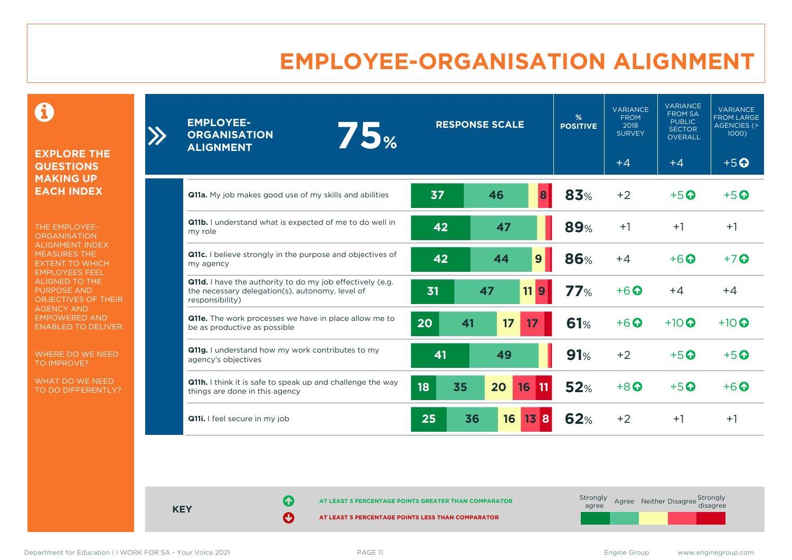# **EMPLOYEE-ORGANISATION ALIGNMENT**

0

**EXPLORE THE QUESTIONS MAKING UP EACH INDEX**

 $\sum$ 

THE EMPLOYEE-**ORGANISATION** ALIGNMENT INDEX MEASURES THE EXTENT TO WHICH EMPLOYEES FEEL ALIGNED TO THE PURPOSE AND OBJECTIVES OF THEIR AGENCY AND EMPOWERED AND ENABLED TO DELIVER.

WHERE DO WE NEED TO IMPROVE?

WHAT DO WE NEED TO DO DIFFERENTLY?

| <b>EMPLOYEE-</b><br><b>75%</b><br><b>ORGANISATION</b><br><b>ALIGNMENT</b>                                                       | <b>RESPONSE SCALE</b> |                | %<br><b>POSITIVE</b> | <b>VARIANCE</b><br><b>FROM</b><br>2018<br><b>SURVEY</b> | <b>VARIANCE</b><br><b>FROM SA</b><br><b>PUBLIC</b><br><b>SECTOR</b><br><b>OVERALL</b> | <b>VARIANCE</b><br><b>FROM LARGE</b><br><b>AGENCIES (&gt;</b><br>1000) |
|---------------------------------------------------------------------------------------------------------------------------------|-----------------------|----------------|----------------------|---------------------------------------------------------|---------------------------------------------------------------------------------------|------------------------------------------------------------------------|
|                                                                                                                                 |                       |                |                      | $+4$                                                    | $+4$                                                                                  | $+5$ <sup>O</sup>                                                      |
| <b>Q11a.</b> My job makes good use of my skills and abilities                                                                   | 37                    | 46<br>8        | 83%                  | $+2$                                                    | $+5$ $\odot$                                                                          | $+5$ $\odot$                                                           |
| <b>Q11b.</b> I understand what is expected of me to do well in<br>my role                                                       | 42                    | 47             | <b>89%</b>           | $+1$                                                    | $+1$                                                                                  | $+1$                                                                   |
| Q11c. I believe strongly in the purpose and objectives of<br>my agency                                                          | 42                    | 9<br>44        | 86%                  | $+4$                                                    | $+6$ $\odot$                                                                          | $+7$ <sup>O</sup>                                                      |
| Q11d. I have the authority to do my job effectively (e.g.<br>the necessary delegation(s), autonomy, level of<br>responsibility) | 31                    | 11<br>47<br>9  | 77%                  | $+6$ $\odot$                                            | $+4$                                                                                  | $+4$                                                                   |
| <b>Q11e.</b> The work processes we have in place allow me to<br>be as productive as possible                                    | 20<br>41              | 17<br>17       | 61%                  | $+6$ $\odot$                                            | $+10$ $\odot$                                                                         | $+10$ $\Omega$                                                         |
| Q11g. I understand how my work contributes to my<br>agency's objectives                                                         | 41                    | 49             | 91%                  | $+2$                                                    | $+5$ $\odot$                                                                          | $+5$ $\odot$                                                           |
| Q11h. I think it is safe to speak up and challenge the way<br>things are done in this agency                                    | 18<br>35              | 20<br>11<br>16 | 52%                  | $+8$ <sup><math>\odot</math></sup>                      | $+5$ <sup><math>\odot</math></sup>                                                    | $+6$ $\Omega$                                                          |
| Q11i. I feel secure in my job                                                                                                   | 25<br>36              | 16<br>13B      | 62%                  | $+2$                                                    | $+1$                                                                                  | $+1$                                                                   |

**KEY**

**AT LEAST 5 PERCENTAGE POINTS GREATER THAN COMPARATOR**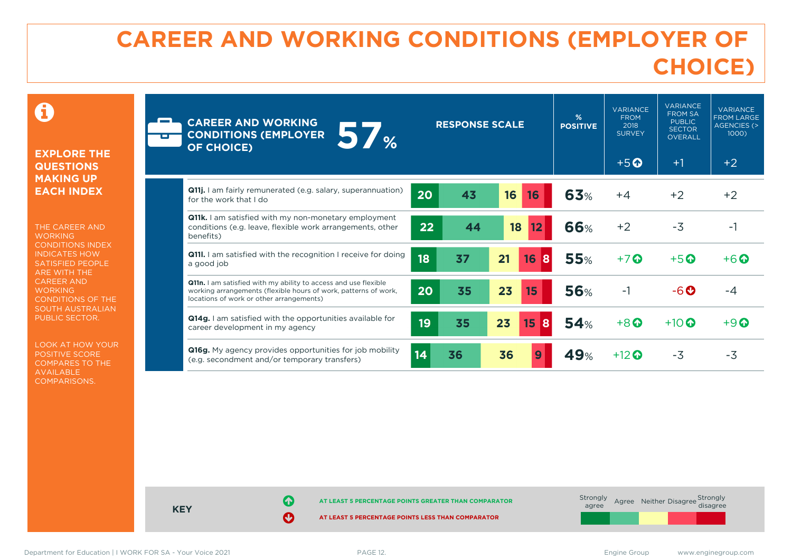# **CAREER AND WORKING CONDITIONS (EMPLOYER OF CHOICE)**

 $\mathbf \Theta$ 

### **EXPLORE THE QUESTIONS MAKING UP EACH INDEX**

THE CAREER AND **WORKING** CONDITIONS INDEX INDICATES HOW SATISFIED PEOPLE ARE WITH THE CAREER AND **WORKING** CONDITIONS OF THE SOUTH AUSTRALIAN PUBLIC SECTOR.

LOOK AT HOW YOUR POSITIVE SCORE COMPARES TO THE AVAILABLE COMPARISONS.

| <b>CAREER AND WORKING</b><br><b>57%</b><br><b>CONDITIONS (EMPLOYER</b><br><b>OF CHOICE)</b>                                                                                    |                 | <b>RESPONSE SCALE</b> |    |         | %<br><b>POSITIVE</b> | <b>VARIANCE</b><br><b>FROM</b><br>2018<br><b>SURVEY</b> | <b>VARIANCE</b><br><b>FROM SA</b><br><b>PUBLIC</b><br><b>SECTOR</b><br><b>OVERALL</b> | <b>VARIANCE</b><br><b>FROM LARGE</b><br>AGENCIES (><br>1000) |
|--------------------------------------------------------------------------------------------------------------------------------------------------------------------------------|-----------------|-----------------------|----|---------|----------------------|---------------------------------------------------------|---------------------------------------------------------------------------------------|--------------------------------------------------------------|
|                                                                                                                                                                                |                 |                       |    |         |                      | $+5$ <sup><math>\odot</math></sup>                      | $+1$                                                                                  | $+2$                                                         |
| <b>Q11j.</b> I am fairly remunerated (e.g. salary, superannuation)<br>for the work that I do                                                                                   | 20              | 43                    | 16 | 16      | <b>63%</b>           | $+4$                                                    | $+2$                                                                                  | $+2$                                                         |
| <b>Q11k.</b> I am satisfied with my non-monetary employment<br>conditions (e.g. leave, flexible work arrangements, other<br>benefits)                                          | 22 <sub>2</sub> | 44                    | 18 | 12      | <b>66%</b>           | $+2$                                                    | $-3$                                                                                  | -1                                                           |
| <b>Q111.</b> I am satisfied with the recognition I receive for doing<br>a good job                                                                                             | 18              | 37                    | 21 | 16<br>8 | <b>55%</b>           | $+7$ $\odot$                                            | $+5$ $\odot$                                                                          | $+6$ $\odot$                                                 |
| Q11n. I am satisfied with my ability to access and use flexible<br>working arrangements (flexible hours of work, patterns of work,<br>locations of work or other arrangements) | 20              | 35                    | 23 | 15      | <b>56%</b>           | $-1$                                                    | -60                                                                                   | -4                                                           |
| <b>Q14g.</b> I am satisfied with the opportunities available for<br>career development in my agency                                                                            | 19              | 35                    | 23 | 15<br>8 | 54%                  | $+8$ $\odot$                                            | $+10$ $\odot$                                                                         | $+9$ $\odot$                                                 |
| <b>Q16g.</b> My agency provides opportunities for job mobility<br>(e.g. secondment and/or temporary transfers)                                                                 | 14              | 36                    | 36 |         | 49%                  | $+12$ $\odot$                                           | $-3$                                                                                  | $-3$                                                         |

![](_page_11_Figure_6.jpeg)

Department for Education | I WORK FOR SA - Your Voice 2021 PAGE 12. Engine Group www.enginegroup.com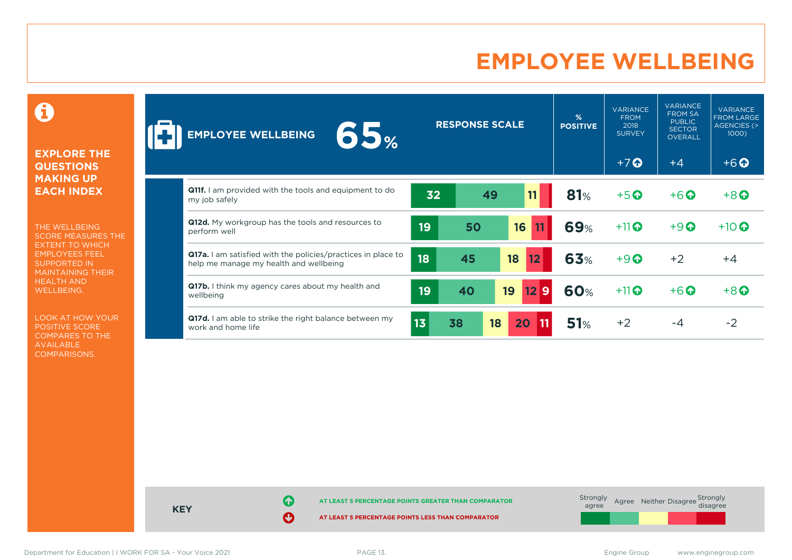# **EMPLOYEE WELLBEING**

0

### **EXPLORE THE QUESTIONS MAKING UP EACH INDEX**

THE WELLBEING SCORE MEASURES THE EXTENT TO WHICH EMPLOYEES FEEL SUPPORTED IN MAINTAINING THEIR HEALTH AND WELLBEING.

LOOK AT HOW YOUR POSITIVE SCORE COMPARES TO THE AVAILABLE COMPARISONS.

| 65%<br><b>EMPLOYEE WELLBEING</b>                                                                              |    | <b>RESPONSE SCALE</b> |                  | %<br><b>POSITIVE</b> | <b>VARIANCE</b><br><b>FROM</b><br>2018<br><b>SURVEY</b> | <b>VARIANCE</b><br><b>FROM SA</b><br><b>PUBLIC</b><br><b>SECTOR</b><br><b>OVERALL</b> | <b>VARIANCE</b><br><b>FROM LARGE</b><br><b>AGENCIES (&gt;</b><br>$1000$ ) |
|---------------------------------------------------------------------------------------------------------------|----|-----------------------|------------------|----------------------|---------------------------------------------------------|---------------------------------------------------------------------------------------|---------------------------------------------------------------------------|
|                                                                                                               |    |                       |                  |                      | $+7$ $\Omega$                                           | $+4$                                                                                  | $+6$ <sup><math>\odot</math></sup>                                        |
| <b>Q11f.</b> I am provided with the tools and equipment to do<br>my job safely                                | 32 |                       | 11<br>49         | 81%                  | $+5$ <sup>O</sup>                                       | $+6$ $\odot$                                                                          | $+8$ <sup><math>\odot</math></sup>                                        |
| Q12d. My workgroup has the tools and resources to<br>perform well                                             | 19 | 50                    | 16<br>11         | <b>69%</b>           | $+11$                                                   | $+9$ $\odot$                                                                          | $+10$ $\odot$                                                             |
| <b>Q17a.</b> I am satisfied with the policies/practices in place to<br>help me manage my health and wellbeing | 18 | 45                    | 18<br>12         | 63%                  | $+9$                                                    | $+2$                                                                                  | $+4$                                                                      |
| <b>Q17b.</b> I think my agency cares about my health and<br>wellbeing                                         | 19 | 40                    | 19<br><b>129</b> | <b>60%</b>           | $+11$                                                   | $+6$ $\odot$                                                                          | $+8$ <sup><math>\odot</math></sup>                                        |
| <b>Q17d.</b> I am able to strike the right balance between my<br>work and home life                           | 13 | 38                    | 18<br>20         | 51%                  | $+2$                                                    | -4                                                                                    | $-2$                                                                      |

![](_page_12_Figure_6.jpeg)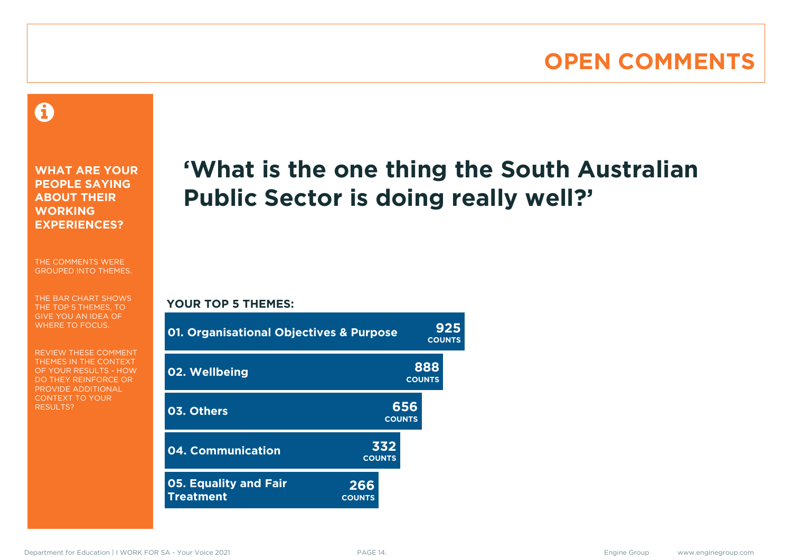# **OPEN COMMENTS**

### 0

**WHAT ARE YOUR PEOPLE SAYING ABOUT THEIR WORKING EXPERIENCES?**

THE COMMENTS WERE GROUPED INTO THEMES.

THE BAR CHART SHOWS THE TOP 5 THEMES, TO GIVE YOU AN IDEA OF WHERE TO FOCUS.

REVIEW THESE COMMENT THEMES IN THE CONTEXT OF YOUR RESULTS - HOW DO THEY REINFORCE OR PROVIDE ADDITIONAL CONTEXT TO YOUR **RESULTS?** 

# **'What is the one thing the South Australian Public Sector is doing really well?'**

### **YOUR TOP 5 THEMES:**

| <b>01. Organisational Objectives &amp; Purpose</b> |                      | 925<br><b>COUNTS</b> |  |
|----------------------------------------------------|----------------------|----------------------|--|
| 02. Wellbeing                                      |                      | 888<br><b>COUNTS</b> |  |
| 03. Others                                         |                      | 656<br><b>COUNTS</b> |  |
| 04. Communication                                  | 332<br><b>COUNTS</b> |                      |  |
| <b>05. Equality and Fair</b><br><b>Treatment</b>   | 266<br><b>COUNTS</b> |                      |  |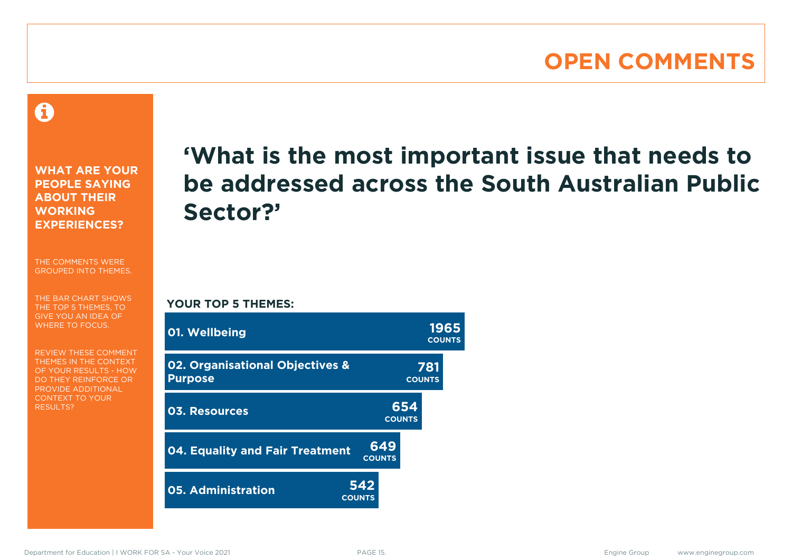# **OPEN COMMENTS**

A

**WHAT ARE YOUR PEOPLE SAYING ABOUT THEIR WORKING EXPERIENCES?**

THE COMMENTS WERE GROUPED INTO THEMES.

THE BAR CHART SHOWS THE TOP 5 THEMES, TO GIVE YOU AN IDEA OF WHERE TO FOCUS.

REVIEW THESE COMMENT THEMES IN THE CONTEXT OF YOUR RESULTS - HOW DO THEY REINFORCE OR PROVIDE ADDITIONAL CONTEXT TO YOUR **RESULTS?** 

# **'What is the most important issue that needs to be addressed across the South Australian Public Sector?'**

**YOUR TOP 5 THEMES:**

| 01. Wellbeing                                                |                      |                      |                      |                      | 1965<br><b>COUNTS</b> |
|--------------------------------------------------------------|----------------------|----------------------|----------------------|----------------------|-----------------------|
| <b>02. Organisational Objectives &amp;</b><br><b>Purpose</b> |                      |                      |                      | 781<br><b>COUNTS</b> |                       |
| 03. Resources                                                |                      |                      | 654<br><b>COUNTS</b> |                      |                       |
| 04. Equality and Fair Treatment                              |                      | 649<br><b>COUNTS</b> |                      |                      |                       |
| 05. Administration                                           | 542<br><b>COUNTS</b> |                      |                      |                      |                       |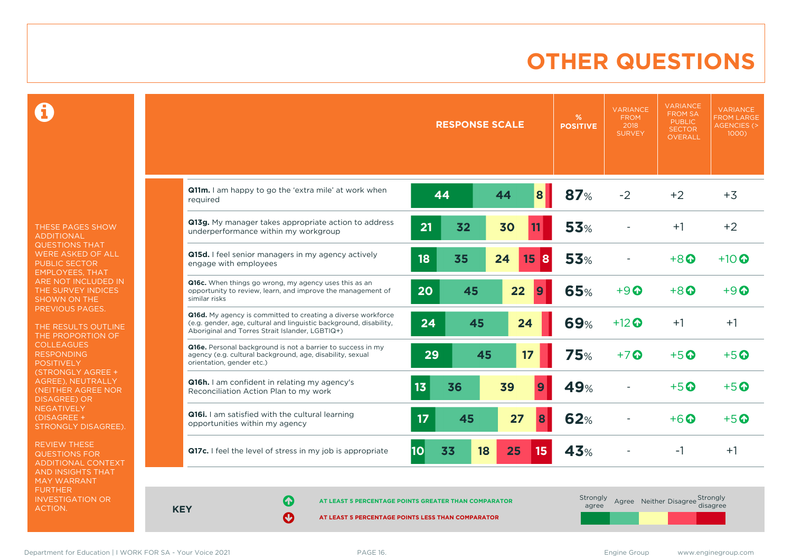# **OTHER QUESTIONS**

0

THESE PAGES SHOW ADDITIONAL QUESTIONS THAT WERE ASKED OF ALL PUBLIC SECTOR EMPLOYEES, THAT ARE NOT INCLUDED IN THE SURVEY INDICES SHOWN ON THE PREVIOUS PAGES.

THE RESULTS OUTLINE THE PROPORTION OF COLLEAGUES RESPONDING POSITIVELY (STRONGLY AGREE + AGREE), NEUTRALLY (NEITHER AGREE NOR **NEGATIVELY** (DISAGREE + STRONGLY DISAGREE).

REVIEW THESE QUESTIONS FOR ADDITIONAL CONTEXT AND INSIGHTS THAT MAY WARRANT FURTHER INVESTIGATION OR ACTION.

|                                                                                                                                                                                       |    | <b>RESPONSE SCALE</b> |    |                  | %<br><b>POSITIVE</b> | <b>VARIANCE</b><br><b>FROM</b><br>2018<br><b>SURVEY</b> | <b>VARIANCE</b><br><b>FROM SA</b><br><b>PUBLIC</b><br><b>SECTOR</b><br><b>OVERALL</b> | <b>VARIANCE</b><br><b>FROM LARGE</b><br><b>AGENCIES (&gt;</b><br>1000) |
|---------------------------------------------------------------------------------------------------------------------------------------------------------------------------------------|----|-----------------------|----|------------------|----------------------|---------------------------------------------------------|---------------------------------------------------------------------------------------|------------------------------------------------------------------------|
| Q11m. I am happy to go the 'extra mile' at work when<br>reauired                                                                                                                      | 44 |                       | 44 | $\vert 8 \vert$  | 87%                  | $-2$                                                    | $+2$                                                                                  | $+3$                                                                   |
| Q13g. My manager takes appropriate action to address<br>underperformance within my workgroup                                                                                          | 21 | 32                    | 30 | 11               | 53%                  |                                                         | $+1$                                                                                  | $+2$                                                                   |
| Q15d. I feel senior managers in my agency actively<br>engage with employees                                                                                                           | 18 | 35                    | 24 | $15 \text{ }8$   | 53%                  |                                                         | $+8$ $\Omega$                                                                         | $+10$ $\odot$                                                          |
| Q16c. When things go wrong, my agency uses this as an<br>opportunity to review, learn, and improve the management of<br>similar risks                                                 | 20 | 45                    | 22 | 9                | <b>65%</b>           | $+9$                                                    | $+8$                                                                                  | $+9$ $\odot$                                                           |
| Q16d. My agency is committed to creating a diverse workforce<br>(e.g. gender, age, cultural and linguistic background, disability,<br>Aboriginal and Torres Strait Islander, LGBTIQ+) | 24 | 45                    |    | 24               | <b>69%</b>           | $+12$ $\odot$                                           | $+1$                                                                                  | $+1$                                                                   |
| Q16e. Personal background is not a barrier to success in my<br>agency (e.g. cultural background, age, disability, sexual<br>orientation, gender etc.)                                 | 29 | 45                    |    | 17               | <b>75%</b>           | $+7$ $\odot$                                            | $+5$ <sup><math>\odot</math></sup>                                                    | $+5$ $\odot$                                                           |
| <b>Q16h.</b> I am confident in relating my agency's<br>Reconciliation Action Plan to my work                                                                                          | 13 | 36                    | 39 | $\boldsymbol{9}$ | 49%                  |                                                         | $+5$ $\odot$                                                                          | $+5$ $\odot$                                                           |
| Q16i. I am satisfied with the cultural learning<br>opportunities within my agency                                                                                                     | 17 | 45                    | 27 | 8                | <b>62%</b>           |                                                         | $+6$ $\odot$                                                                          | $+5$ <sup><math>\odot</math></sup>                                     |
| Q17c. I feel the level of stress in my job is appropriate                                                                                                                             | 10 | 33<br>18              | 25 | 15               | 43%                  |                                                         | $-1$                                                                                  | $+1$                                                                   |

**KEY**

**AT LEAST 5 PERCENTAGE POINTS GREATER THAN COMPARATOR**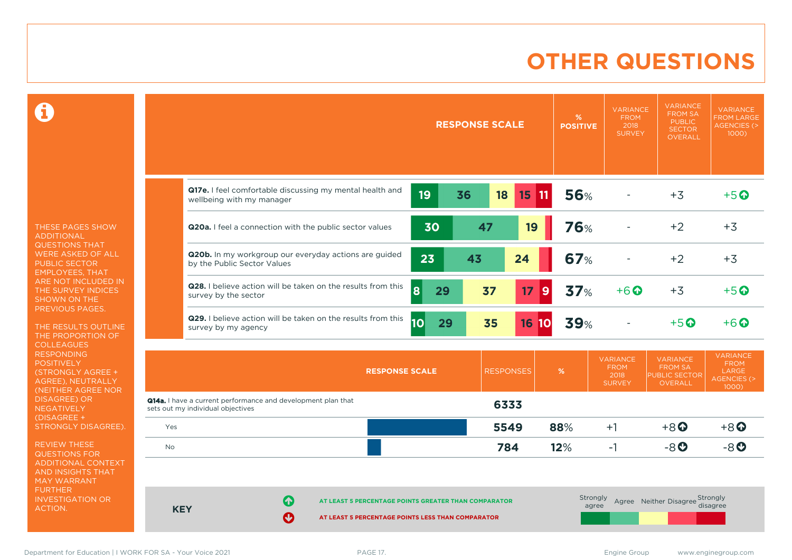# **OTHER QUESTIONS**

0

THESE PAGES SHOW ADDITIONAL QUESTIONS THAT WERE ASKED OF ALL PUBLIC SECTOR EMPLOYEES, THAT ARE NOT INCLUDED IN THE SURVEY INDICES SHOWN ON THE PREVIOUS PAGES.

THE RESULTS OUTLINE THE PROPORTION OF **COLLEAGUES** RESPONDING POSITIVELY (STRONGLY AGREE + AGREE), NEUTRALLY (NEITHER AGREE NOR **NEGATIVELY** (DISAGREE + STRONGLY DISAGREE).

REVIEW THESE QUESTIONS FOR ADDITIONAL CONTEXT AND INSIGHTS THAT MAY WARRANT FURTHER INVESTIGATION OR ACTION.

|           |                                                                                                   | <b>RESPONSE SCALE</b><br><b>POSITIVE</b> |            | <b>VARIANCE</b><br><b>FROM</b><br>2018<br><b>SURVEY</b> | <b>VARIANCE</b><br><b>FROM SA</b><br><b>PUBLIC</b><br><b>SECTOR</b><br>OVERALL | <b>VARIANCE</b><br><b>FROM LARGE</b><br><b>AGENCIES (&gt;</b><br>1000)    |
|-----------|---------------------------------------------------------------------------------------------------|------------------------------------------|------------|---------------------------------------------------------|--------------------------------------------------------------------------------|---------------------------------------------------------------------------|
|           |                                                                                                   |                                          |            |                                                         |                                                                                |                                                                           |
|           | Q17e. I feel comfortable discussing my mental health and<br>36<br>19<br>wellbeing with my manager | 18<br>$15$ 11                            | <b>56%</b> |                                                         | $+3$                                                                           | $+5O$                                                                     |
|           | 30<br>Q20a. I feel a connection with the public sector values                                     | 19<br>47                                 | <b>76%</b> |                                                         | $+2$                                                                           | $+3$                                                                      |
|           | Q20b. In my workgroup our everyday actions are guided<br>23<br>by the Public Sector Values        | 43<br>24                                 | <b>67%</b> |                                                         | $+2$                                                                           | $+3$                                                                      |
|           | Q28. I believe action will be taken on the results from this<br>8<br>29<br>survey by the sector   | 37<br>17<br>9                            | 37%        | $+6$ <sup><math>\odot</math></sup>                      | $+3$                                                                           | $+5$ <sup>O</sup>                                                         |
|           | Q29. I believe action will be taken on the results from this<br> 10 <br>29<br>survey by my agency | 35<br><b>16 10</b>                       | 39%        |                                                         | $+5$ $\odot$                                                                   | $+6$ $\odot$                                                              |
|           | <b>RESPONSE SCALE</b>                                                                             | <b>RESPONSES</b>                         | %          | <b>VARIANCE</b><br><b>FROM</b><br>2018<br><b>SURVEY</b> | <b>VARIANCE</b><br><b>FROM SA</b><br>PUBLIC SECTOR<br><b>OVERALL</b>           | <b>VARIANCE</b><br><b>FROM</b><br>LARGE<br><b>AGENCIES (&gt;</b><br>1000) |
|           | Q14a. I have a current performance and development plan that<br>sets out my individual objectives | 6333                                     |            |                                                         |                                                                                |                                                                           |
| Yes       |                                                                                                   | 5549                                     | 88%        | $+1$                                                    | $+8$ <sup>O</sup>                                                              | $+8$ <sup>O</sup>                                                         |
| <b>No</b> |                                                                                                   | 784                                      | 12%        | $-1$                                                    | $-8o$                                                                          | $-8o$                                                                     |

**KEY**

 $\overline{\phantom{a}}$ 

 $\sim$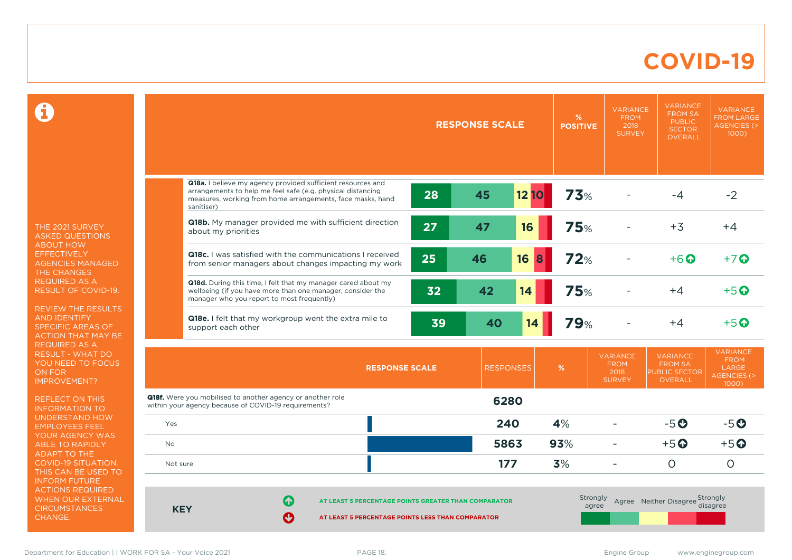### **COVID-19**

 $\mathbf \Omega$ 

THE 2021 SURVEY ASKED QUESTIONS ABOUT HOW **EFFECTIVELY** AGENCIES MANAGED THE CHANGES REQUIRED AS A RESULT OF COVID-19.

REVIEW THE RESULTS AND IDENTIFY SPECIFIC AREAS OF ACTION THAT MAY BE REQUIRED AS A RESULT - WHAT DO YOU NEED TO FOCUS ON FOR IMPROVEMENT?

REFLECT ON THIS INFORMATION TO UNDERSTAND HOW EMPLOYEES FEEL YOUR AGENCY WAS ABLE TO RAPIDLY ADAPT TO THE COVID-19 SITUATION. THIS CAN BE USED TO INFORM FUTURE ACTIONS REQUIRED WHEN OUR EXTERNAL **CIRCUMSTANCES** CHANGE.

|           |                                                                                                                                                                           |    | <b>RESPONSE SCALE</b> |         | $\%$<br><b>POSITIVE</b> | <b>VARIANCE</b><br><b>FROM</b><br>2018<br><b>SURVEY</b> | <b>VARIANCE</b><br><b>FROM SA</b><br><b>PUBLIC</b><br><b>SECTOR</b><br>OVERALL | <b>VARIANCE</b><br><b>FROM LARGE</b><br><b>AGENCIES (&gt;</b><br>1000)    |
|-----------|---------------------------------------------------------------------------------------------------------------------------------------------------------------------------|----|-----------------------|---------|-------------------------|---------------------------------------------------------|--------------------------------------------------------------------------------|---------------------------------------------------------------------------|
|           | Q18a. I believe my agency provided sufficient resources and                                                                                                               |    |                       |         |                         |                                                         |                                                                                |                                                                           |
|           | arrangements to help me feel safe (e.g. physical distancing<br>measures, working from home arrangements, face masks, hand<br>sanitiser)                                   | 28 | 45                    | 1210    | 73%                     |                                                         | $-4$                                                                           | $-2$                                                                      |
|           | Q18b. My manager provided me with sufficient direction<br>about my priorities                                                                                             | 27 | 47                    | 16      | <b>75%</b>              |                                                         | $+3$                                                                           | $+4$                                                                      |
|           | <b>Q18c.</b> I was satisfied with the communications I received<br>from senior managers about changes impacting my work                                                   | 25 | 46                    | 16<br>8 | 72%                     |                                                         | $+6$ <sup><math>\odot</math></sup>                                             | $+7$ $\odot$                                                              |
|           | Q18d. During this time, I felt that my manager cared about my<br>wellbeing (if you have more than one manager, consider the<br>manager who you report to most frequently) | 32 | 42                    | 14      | <b>75%</b>              |                                                         | $+4$                                                                           | $+5$ <sup><math>\odot</math></sup>                                        |
|           | Q18e. I felt that my workgroup went the extra mile to<br>support each other                                                                                               | 39 | 40                    | 14      | <b>79%</b>              |                                                         | $+4$                                                                           | $+5$ $\odot$                                                              |
|           | <b>RESPONSE SCALE</b>                                                                                                                                                     |    | <b>RESPONSES</b>      |         | %                       | <b>VARIANCE</b><br><b>FROM</b><br>2018<br><b>SURVEY</b> | <b>VARIANCE</b><br><b>FROM SA</b><br><b>PUBLIC SECTOR</b><br><b>OVERALL</b>    | <b>VARIANCE</b><br><b>FROM</b><br>LARGE<br><b>AGENCIES (&gt;</b><br>1000) |
|           | Q18f. Were you mobilised to another agency or another role<br>within your agency because of COVID-19 requirements?                                                        |    | 6280                  |         |                         |                                                         |                                                                                |                                                                           |
| Yes       |                                                                                                                                                                           |    | 240                   |         | 4%                      |                                                         | $-5o$                                                                          | $-5o$                                                                     |
| <b>No</b> |                                                                                                                                                                           |    | 5863                  |         | 93%                     |                                                         | $+5$ <sup>O</sup>                                                              | $+5$ <sup>O</sup>                                                         |
| Not sure  |                                                                                                                                                                           |    | 177                   |         | 3%                      | $\overline{a}$                                          | $\circ$                                                                        | $\circ$                                                                   |
|           | Œ<br>AT LEAST 5 PERCENTAGE POINTS GREATER THAN COMPARATOR<br><b>KEY</b><br>Ø<br>AT LEAST 5 PERCENTAGE POINTS LESS THAN COMPARATOR                                         |    |                       |         |                         | Strongly<br>agree                                       | Agree Neither Disagree Strongly                                                | disagree                                                                  |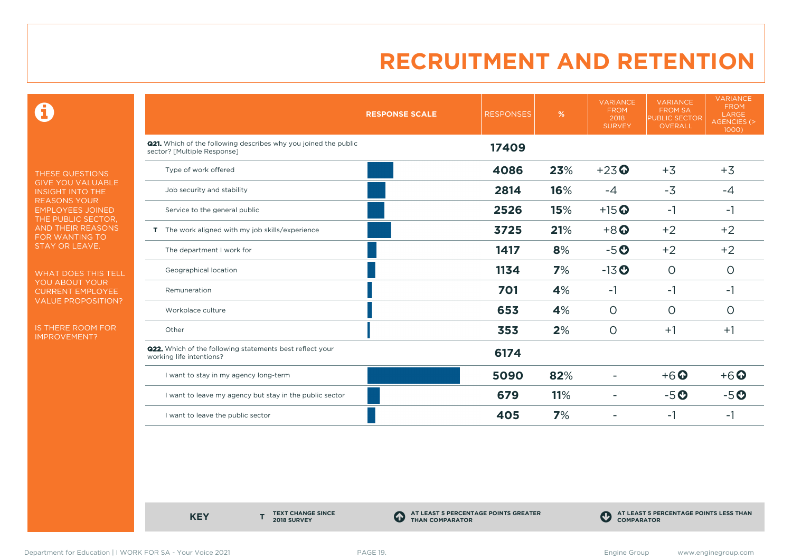0

THESE QUESTIONS GIVE YOU VALUABLE INSIGHT INTO THE REASONS YOUR EMPLOYEES JOINED THE PUBLIC SECTOR, AND THEIR REASONS FOR WANTING TO STAY OR LEAVE.

WHAT DOES THIS TELL YOU ABOUT YOUR CURRENT EMPLOYEE VALUE PROPOSITION?

IS THERE ROOM FOR IMPROVEMENT?

|                                                                                                       | <b>RESPONSE SCALE</b> | <b>RESPONSES</b> | %   | <b>VARIANCE</b><br><b>FROM</b><br>2018<br><b>SURVEY</b> | <b>VARIANCE</b><br><b>FROM SA</b><br><b>PUBLIC SECTOR</b><br>OVERALL | <b>VARIANCE</b><br><b>FROM</b><br>LARGE<br><b>AGENCIES (&gt;</b><br>1000) |
|-------------------------------------------------------------------------------------------------------|-----------------------|------------------|-----|---------------------------------------------------------|----------------------------------------------------------------------|---------------------------------------------------------------------------|
| <b>Q21.</b> Which of the following describes why you joined the public<br>sector? [Multiple Response] |                       | 17409            |     |                                                         |                                                                      |                                                                           |
| Type of work offered                                                                                  |                       | 4086             | 23% | $+23$ <sup>O</sup>                                      | $+3$                                                                 | $+3$                                                                      |
| Job security and stability                                                                            |                       | 2814             | 16% | $-4$                                                    | $-3$                                                                 | $-4$                                                                      |
| Service to the general public                                                                         |                       | 2526             | 15% | $+15$ <sup>O</sup>                                      | $-1$                                                                 | $-1$                                                                      |
| T The work aligned with my job skills/experience                                                      |                       | 3725             | 21% | $+8$ <sup>O</sup>                                       | $+2$                                                                 | $+2$                                                                      |
| The department I work for                                                                             |                       | 1417             | 8%  | $-5o$                                                   | $+2$                                                                 | $+2$                                                                      |
| Geographical location                                                                                 |                       | 1134             | 7%  | $-13$ <sup>O</sup>                                      | $\circ$                                                              | $\circ$                                                                   |
| Remuneration                                                                                          |                       | 701              | 4%  | $-1$                                                    | $-1$                                                                 | $-1$                                                                      |
| Workplace culture                                                                                     |                       | 653              | 4%  | $\circ$                                                 | $\circ$                                                              | $\circ$                                                                   |
| Other                                                                                                 |                       | 353              | 2%  | $\circ$                                                 | $+1$                                                                 | $+1$                                                                      |
| Q22. Which of the following statements best reflect your<br>working life intentions?                  |                       | 6174             |     |                                                         |                                                                      |                                                                           |
| I want to stay in my agency long-term                                                                 |                       | 5090             | 82% |                                                         | $+6$ <sup>O</sup>                                                    | $+6$ <sup>O</sup>                                                         |
| I want to leave my agency but stay in the public sector                                               |                       | 679              | 11% |                                                         | $-5o$                                                                | $-5o$                                                                     |
| I want to leave the public sector                                                                     |                       | 405              | 7%  |                                                         | $-1$                                                                 | $-1$                                                                      |

**KEY** 

**TEXT CHANGE SINCE 2018 SURVEY**

**AT LEAST 5 PERCENTAGE POINTS GREATER THAN COMPARATOR**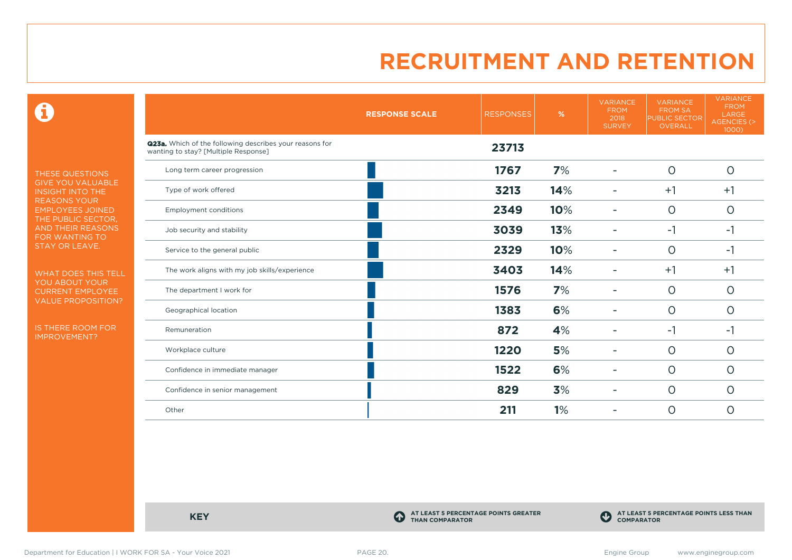$\mathbf \Theta$ 

THESE QUESTIONS GIVE YOU VALUABLE INSIGHT INTO THE REASONS YOUR EMPLOYEES JOINED THE PUBLIC SECTOR, AND THEIR REASONS FOR WANTING TO STAY OR LEAVE.

WHAT DOES THIS TELL YOU ABOUT YOUR CURRENT EMPLOYEE VALUE PROPOSITION?

IS THERE ROOM FOR IMPROVEMENT?

|                                                                                                 | <b>RESPONSE SCALE</b> | <b>RESPONSES</b> | %   | <b>VARIANCE</b><br><b>FROM</b><br>2018<br><b>SURVEY</b> | <b>VARIANCE</b><br><b>FROM SA</b><br><b>PUBLIC SECTOR</b><br><b>OVERALL</b> | <b>VARIANCE</b><br><b>FROM</b><br>LARGE<br>AGENCIES (><br>1000 |
|-------------------------------------------------------------------------------------------------|-----------------------|------------------|-----|---------------------------------------------------------|-----------------------------------------------------------------------------|----------------------------------------------------------------|
| Q23a. Which of the following describes your reasons for<br>wanting to stay? [Multiple Response] |                       | 23713            |     |                                                         |                                                                             |                                                                |
| Long term career progression                                                                    |                       | 1767             | 7%  |                                                         | $\circ$                                                                     | $\circ$                                                        |
| Type of work offered                                                                            |                       | 3213             | 14% |                                                         | $+1$                                                                        | $+1$                                                           |
| <b>Employment conditions</b>                                                                    |                       | 2349             | 10% | -                                                       | $\circ$                                                                     | $\circ$                                                        |
| Job security and stability                                                                      |                       | 3039             | 13% |                                                         | $-1$                                                                        | $-1$                                                           |
| Service to the general public                                                                   |                       | 2329             | 10% |                                                         | $\circ$                                                                     | $-1$                                                           |
| The work aligns with my job skills/experience                                                   |                       | 3403             | 14% |                                                         | $+1$                                                                        | $+1$                                                           |
| The department I work for                                                                       |                       | 1576             | 7%  |                                                         | $\Omega$                                                                    | $\circ$                                                        |
| Geographical location                                                                           |                       | 1383             | 6%  |                                                         | $\circ$                                                                     | $\circ$                                                        |
| Remuneration                                                                                    |                       | 872              | 4%  |                                                         | $-1$                                                                        | $-1$                                                           |
| Workplace culture                                                                               |                       | 1220             | 5%  | -                                                       | $\circ$                                                                     | $\circ$                                                        |
| Confidence in immediate manager                                                                 |                       | 1522             | 6%  |                                                         | $\circ$                                                                     | $\circ$                                                        |
| Confidence in senior management                                                                 |                       | 829              | 3%  |                                                         | $\circ$                                                                     | $\circ$                                                        |
| Other                                                                                           |                       | 211              | 1%  |                                                         | $\circ$                                                                     | 0                                                              |

**KEY C** 

**AT LEAST 5 PERCENTAGE POINTS GREATER THAN COMPARATOR**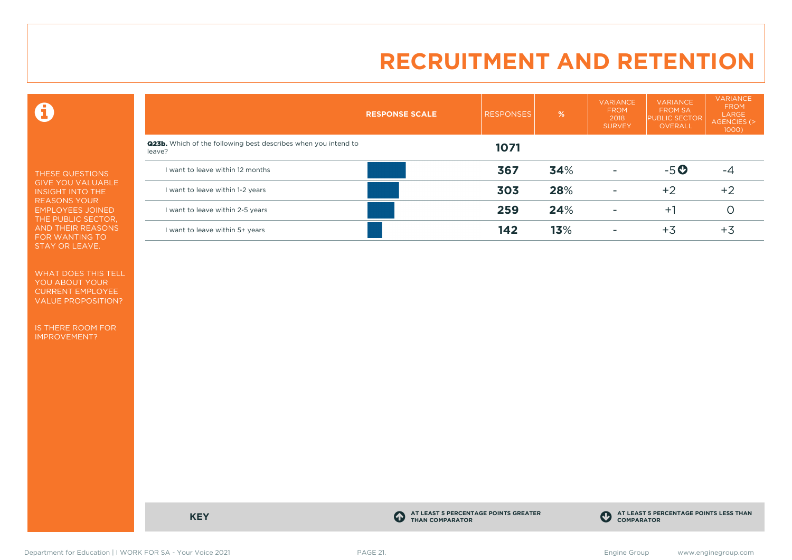$\mathbf \Theta$ 

THESE QUESTIONS GIVE YOU VALUABLE INSIGHT INTO THE REASONS YOUR EMPLOYEES JOINED THE PUBLIC SECTOR, AND THEIR REASONS FOR WANTING TO STAY OR LEAVE.

WHAT DOES THIS TELL YOU ABOUT YOUR CURRENT EMPLOYEE VALUE PROPOSITION?

IS THERE ROOM FOR IMPROVEMENT?

|                                                                                 | <b>RESPONSE SCALE</b> | <b>RESPONSES</b> | %   | <b>VARIANCE</b><br><b>FROM</b><br>2018<br><b>SURVEY</b> | <b>VARIANCE</b><br><b>FROM SA</b><br><b>PUBLIC SECTOR</b><br>OVERALL | <b>VARIANCE</b><br><b>FROM</b><br>LARGE<br>AGENCIES (><br>1000) |
|---------------------------------------------------------------------------------|-----------------------|------------------|-----|---------------------------------------------------------|----------------------------------------------------------------------|-----------------------------------------------------------------|
| <b>Q23b.</b> Which of the following best describes when you intend to<br>leave? |                       | 1071             |     |                                                         |                                                                      |                                                                 |
| I want to leave within 12 months                                                |                       | 367              | 34% | -                                                       | $-5o$                                                                | -4                                                              |
| I want to leave within 1-2 years                                                |                       | 303              | 28% | $\overline{\phantom{a}}$                                | $+2$                                                                 | $+2$                                                            |
| I want to leave within 2-5 years                                                |                       | 259              | 24% | ٠                                                       | $+1$                                                                 |                                                                 |
| I want to leave within 5+ years                                                 |                       | 142              | 13% | ۰                                                       | $+3$                                                                 | +3                                                              |

**KEY C** 

![](_page_20_Picture_8.jpeg)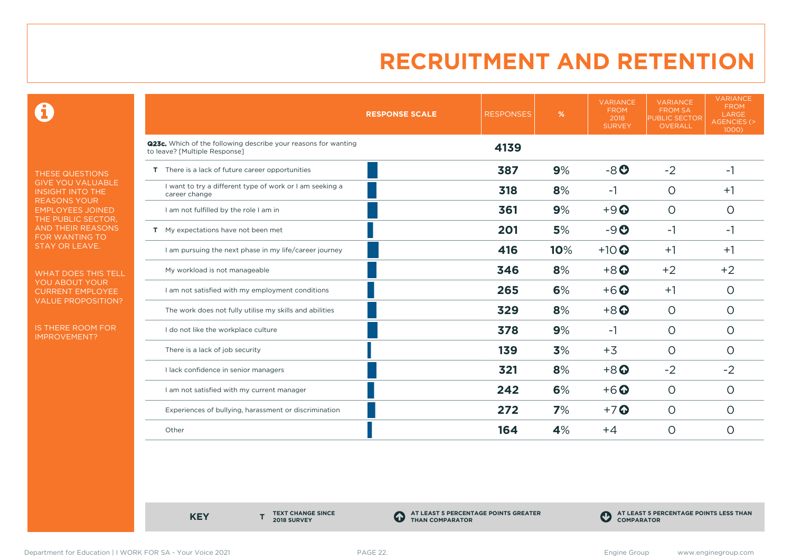0

THESE QUESTIONS GIVE YOU VALUABLE INSIGHT INTO THE REASONS YOUR EMPLOYEES JOINED THE PUBLIC SECTOR, AND THEIR REASONS FOR WANTING TO STAY OR LEAVE.

WHAT DOES THIS TELL YOU ABOUT YOUR CURRENT EMPLOYEE VALUE PROPOSITION?

IS THERE ROOM FOR IMPROVEMENT?

|                                                                                                        | <b>RESPONSE SCALE</b> | <b>RESPONSES</b> | %   | <b>VARIANCE</b><br><b>FROM</b><br>2018<br><b>SURVEY</b> | <b>VARIANCE</b><br><b>FROM SA</b><br><b>PUBLIC SECTOR</b><br>OVERALL | <b>VARIANCE</b><br><b>FROM</b><br>LARGE<br><b>AGENCIES (&gt;</b><br>1000) |
|--------------------------------------------------------------------------------------------------------|-----------------------|------------------|-----|---------------------------------------------------------|----------------------------------------------------------------------|---------------------------------------------------------------------------|
| <b>Q23c.</b> Which of the following describe your reasons for wanting<br>to leave? [Multiple Response] |                       | 4139             |     |                                                         |                                                                      |                                                                           |
| T There is a lack of future career opportunities                                                       |                       | 387              | 9%  | $-8o$                                                   | $-2$                                                                 | -1                                                                        |
| I want to try a different type of work or I am seeking a<br>career change                              |                       | 318              | 8%  | $-1$                                                    | $\circ$                                                              | $+1$                                                                      |
| I am not fulfilled by the role I am in                                                                 |                       | 361              | 9%  | $+9$ <sup><math>\odot</math></sup>                      | $\Omega$                                                             | $\circ$                                                                   |
| T My expectations have not been met                                                                    |                       | 201              | 5%  | $-9o$                                                   | $-1$                                                                 | -1                                                                        |
| I am pursuing the next phase in my life/career journey                                                 |                       | 416              | 10% | $+10$ <sup>O</sup>                                      | $+1$                                                                 | $+1$                                                                      |
| My workload is not manageable                                                                          |                       | 346              | 8%  | $+8$ <sup><math>\odot</math></sup>                      | $+2$                                                                 | $+2$                                                                      |
| I am not satisfied with my employment conditions                                                       |                       | 265              | 6%  | $+6$ <sup>O</sup>                                       | $+1$                                                                 | $\circ$                                                                   |
| The work does not fully utilise my skills and abilities                                                |                       | 329              | 8%  | $+8$ <sup>O</sup>                                       | $\circ$                                                              | O                                                                         |
| I do not like the workplace culture                                                                    |                       | 378              | 9%  | $-1$                                                    | $\Omega$                                                             | $\circ$                                                                   |
| There is a lack of job security                                                                        |                       | 139              | 3%  | $+3$                                                    | $\Omega$                                                             | $\circ$                                                                   |
| I lack confidence in senior managers                                                                   |                       | 321              | 8%  | $+8$ <sup>O</sup>                                       | $-2$                                                                 | $-2$                                                                      |
| I am not satisfied with my current manager                                                             |                       | 242              | 6%  | $+6$ <sup>O</sup>                                       | $\circ$                                                              | O                                                                         |
| Experiences of bullying, harassment or discrimination                                                  |                       | 272              | 7%  | $+7$ $\odot$                                            | $\Omega$                                                             | O                                                                         |
| Other                                                                                                  |                       | 164              | 4%  | $+4$                                                    | $\circ$                                                              | O                                                                         |

**KEY** 

**TEXT CHANGE SINCE 2018 SURVEY**

![](_page_21_Picture_9.jpeg)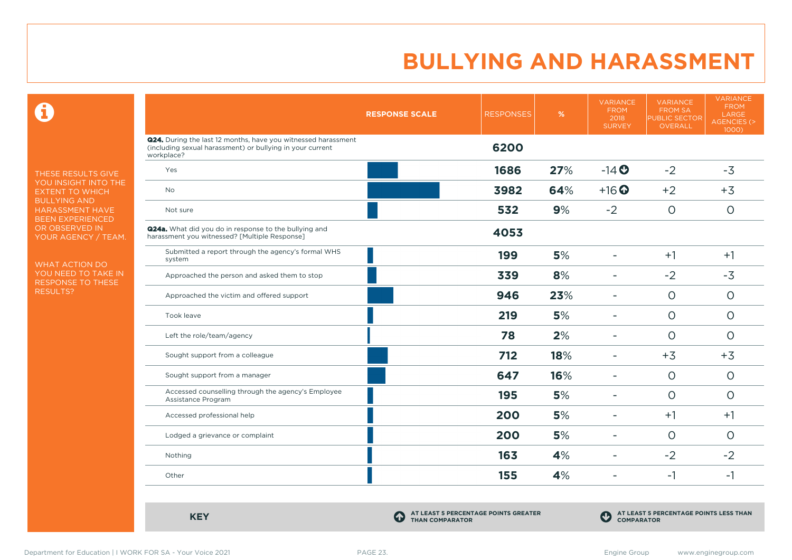$\mathbf \Theta$ 

THESE RESULTS GIVE YOU INSIGHT INTO THE EXTENT TO WHICH BULLYING AND HARASSMENT HAVE BEEN EXPERIENCED OR OBSERVED IN YOUR AGENCY / TEAM.

WHAT ACTION DO YOU NEED TO TAKE IN RESPONSE TO THESE RESULTS?

|                                                                                                                                                 | <b>RESPONSE SCALE</b> | <b>RESPONSES</b> | %   | <b>VARIANCE</b><br><b>FROM</b><br>2018<br><b>SURVEY</b> | <b>VARIANCE</b><br><b>FROM SA</b><br>PUBLIC SECTOR<br>OVERALL | <b>VARIANCE</b><br><b>FROM</b><br>LARGE<br><b>AGENCIES (&gt;</b><br>1000) |
|-------------------------------------------------------------------------------------------------------------------------------------------------|-----------------------|------------------|-----|---------------------------------------------------------|---------------------------------------------------------------|---------------------------------------------------------------------------|
| <b>Q24.</b> During the last 12 months, have you witnessed harassment<br>(including sexual harassment) or bullying in your current<br>workplace? |                       | 6200             |     |                                                         |                                                               |                                                                           |
| Yes                                                                                                                                             |                       | 1686             | 27% | $-14$ <b>O</b>                                          | $-2$                                                          | $-3$                                                                      |
| <b>No</b>                                                                                                                                       |                       | 3982             | 64% | $+16$ <sup>O</sup>                                      | $+2$                                                          | $+3$                                                                      |
| Not sure                                                                                                                                        |                       | 532              | 9%  | $-2$                                                    | $\circ$                                                       | $\circ$                                                                   |
| <b>Q24a.</b> What did you do in response to the bullying and<br>harassment you witnessed? [Multiple Response]                                   |                       | 4053             |     |                                                         |                                                               |                                                                           |
| Submitted a report through the agency's formal WHS<br>system                                                                                    |                       | 199              | 5%  | ÷                                                       | $+1$                                                          | $+1$                                                                      |
| Approached the person and asked them to stop                                                                                                    |                       | 339              | 8%  | $\blacksquare$                                          | $-2$                                                          | $-3$                                                                      |
| Approached the victim and offered support                                                                                                       |                       | 946              | 23% | ٠                                                       | $\circ$                                                       | $\circ$                                                                   |
| Took leave                                                                                                                                      |                       | 219              | 5%  | $\blacksquare$                                          | $\Omega$                                                      | $\Omega$                                                                  |
| Left the role/team/agency                                                                                                                       |                       | 78               | 2%  | $\blacksquare$                                          | $\Omega$                                                      | $\circ$                                                                   |
| Sought support from a colleague                                                                                                                 |                       | 712              | 18% | ۰                                                       | $+3$                                                          | $+3$                                                                      |
| Sought support from a manager                                                                                                                   |                       | 647              | 16% | ۰                                                       | $\Omega$                                                      | $\circ$                                                                   |
| Accessed counselling through the agency's Employee<br>Assistance Program                                                                        |                       | 195              | 5%  | ۰                                                       | $\Omega$                                                      | $\circ$                                                                   |
| Accessed professional help                                                                                                                      |                       | 200              | 5%  | ÷                                                       | $+1$                                                          | $+1$                                                                      |
| Lodged a grievance or complaint                                                                                                                 |                       | 200              | 5%  | ÷                                                       | $\Omega$                                                      | $\circ$                                                                   |
| Nothing                                                                                                                                         |                       | 163              | 4%  | $\overline{\phantom{a}}$                                | $-2$                                                          | $-2$                                                                      |
| Other                                                                                                                                           |                       | 155              | 4%  | $\blacksquare$                                          | $-1$                                                          | $-1$                                                                      |

**KEY C** 

**AT LEAST 5 PERCENTAGE POINTS GREATER THAN COMPARATOR**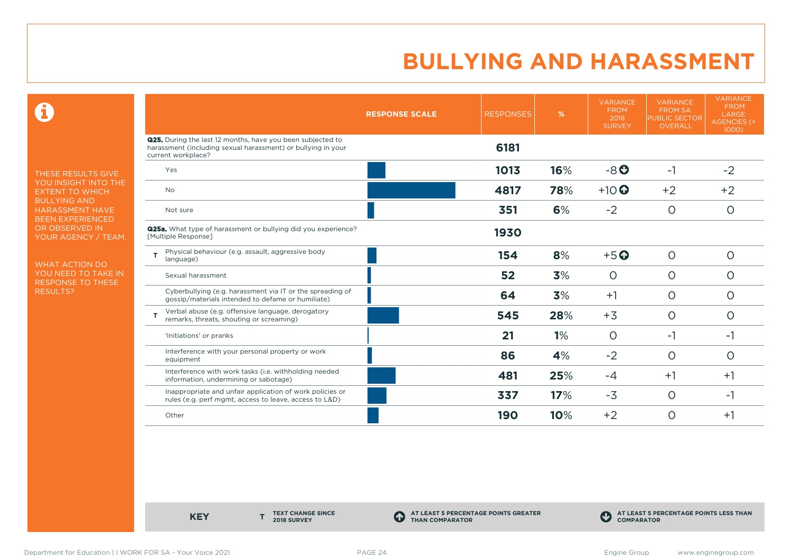$\mathbf \Theta$ 

THESE RESULTS GIVE YOU INSIGHT INTO THE EXTENT TO WHICH BULLYING AND HARASSMENT HAVE BEEN EXPERIENCED OR OBSERVED IN YOUR AGENCY / TEAM.

WHAT ACTION DO YOU NEED TO TAKE IN RESPONSE TO THESE RESULTS?

|                                                                                                                                                         | <b>RESPONSE SCALE</b> | <b>RESPONSES</b> | %   | <b>VARIANCE</b><br><b>FROM</b><br>2018<br><b>SURVEY</b> | <b>VARIANCE</b><br><b>FROM SA</b><br><b>PUBLIC SECTOR</b><br>OVERALL | <b>VARIANCE</b><br><b>FROM</b><br><b>LARGE</b><br><b>AGENCIES (&gt;</b><br>1000) |
|---------------------------------------------------------------------------------------------------------------------------------------------------------|-----------------------|------------------|-----|---------------------------------------------------------|----------------------------------------------------------------------|----------------------------------------------------------------------------------|
| <b>Q25.</b> During the last 12 months, have you been subjected to<br>harassment (including sexual harassment) or bullying in your<br>current workplace? |                       | 6181             |     |                                                         |                                                                      |                                                                                  |
| Yes                                                                                                                                                     |                       | 1013             | 16% | $-8$ $O$                                                | $-1$                                                                 | $-2$                                                                             |
| <b>No</b>                                                                                                                                               |                       | 4817             | 78% | $+10$ $\odot$                                           | $+2$                                                                 | $+2$                                                                             |
| Not sure                                                                                                                                                |                       | 351              | 6%  | $-2$                                                    | $\circ$                                                              | $\circ$                                                                          |
| <b>Q25a.</b> What type of harassment or bullying did you experience?<br>[Multiple Response]                                                             |                       | 1930             |     |                                                         |                                                                      |                                                                                  |
| Physical behaviour (e.g. assault, aggressive body<br>T<br>language)                                                                                     |                       | 154              | 8%  | $+5$ <sup>O</sup>                                       | $\circ$                                                              | $\circ$                                                                          |
| Sexual harassment                                                                                                                                       |                       | 52               | 3%  | $\circ$                                                 | $\circ$                                                              | $\circ$                                                                          |
| Cyberbullying (e.g. harassment via IT or the spreading of<br>gossip/materials intended to defame or humiliate)                                          |                       | 64               | 3%  | $+1$                                                    | $\circ$                                                              | $\circ$                                                                          |
| Verbal abuse (e.g. offensive language, derogatory<br>T<br>remarks, threats, shouting or screaming)                                                      |                       | 545              | 28% | $+3$                                                    | $\circ$                                                              | $\circ$                                                                          |
| 'Initiations' or pranks                                                                                                                                 |                       | 21               | 1%  | $\circ$                                                 | $-1$                                                                 | $-1$                                                                             |
| Interference with your personal property or work<br>equipment                                                                                           |                       | 86               | 4%  | $-2$                                                    | $\circ$                                                              | $\circ$                                                                          |
| Interference with work tasks (i.e. withholding needed<br>information, undermining or sabotage)                                                          |                       | 481              | 25% | $-4$                                                    | $+1$                                                                 | $+1$                                                                             |
| Inappropriate and unfair application of work policies or<br>rules (e.g. perf mgmt, access to leave, access to L&D)                                      |                       | 337              | 17% | $-3$                                                    | $\circ$                                                              | $-1$                                                                             |
| Other                                                                                                                                                   |                       | 190              | 10% | $+2$                                                    | $\circ$                                                              | $+1$                                                                             |

**KEY** 

**TEXT CHANGE SINCE 2018 SURVEY**

![](_page_23_Picture_8.jpeg)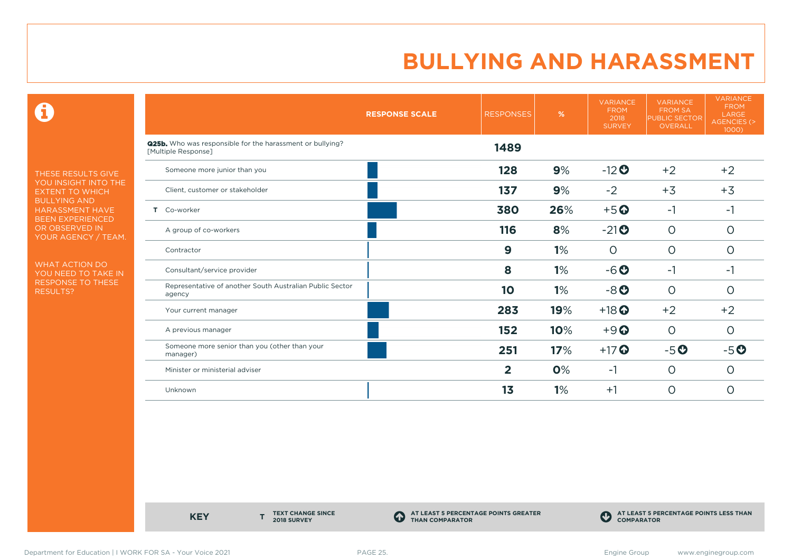0

THESE RESULTS GIVE YOU INSIGHT INTO THE EXTENT TO WHICH BULLYING AND HARASSMENT HAVE BEEN EXPERIENCED OR OBSERVED IN YOUR AGENCY / TEAM.

WHAT ACTION DO YOU NEED TO TAKE IN RESPONSE TO THESE RESULTS?

|                                 |                                                                  | <b>RESPONSE SCALE</b> | <b>RESPONSES</b> | %   | <b>VARIANCE</b><br><b>FROM</b><br>2018<br><b>SURVEY</b> | <b>VARIANCE</b><br><b>FROM SA</b><br><b>PUBLIC SECTOR</b><br><b>OVERALL</b> | <b>VARIANCE</b><br><b>FROM</b><br>LARGE<br><b>AGENCIES (&gt;</b><br>1000) |
|---------------------------------|------------------------------------------------------------------|-----------------------|------------------|-----|---------------------------------------------------------|-----------------------------------------------------------------------------|---------------------------------------------------------------------------|
| [Multiple Response]             | <b>Q25b.</b> Who was responsible for the harassment or bullying? |                       | 1489             |     |                                                         |                                                                             |                                                                           |
| Someone more junior than you    |                                                                  |                       | 128              | 9%  | $-12$ <b>O</b>                                          | $+2$                                                                        | $+2$                                                                      |
| Client, customer or stakeholder |                                                                  |                       | 137              | 9%  | $-2$                                                    | $+3$                                                                        | $+3$                                                                      |
| Co-worker<br>т.                 |                                                                  |                       | 380              | 26% | $+5$ <sup>O</sup>                                       | $-1$                                                                        | $-1$                                                                      |
| A group of co-workers           |                                                                  |                       | 116              | 8%  | $-21$ <sup>O</sup>                                      | 0                                                                           | O                                                                         |
| Contractor                      |                                                                  |                       | 9                | 1%  | $\circ$                                                 | $\overline{O}$                                                              | $\circ$                                                                   |
| Consultant/service provider     |                                                                  |                       | 8                | 1%  | $-6o$                                                   | $-1$                                                                        | $-1$                                                                      |
| agency                          | Representative of another South Australian Public Sector         |                       | 10               | 1%  | $-8o$                                                   | $\circ$                                                                     | $\circ$                                                                   |
| Your current manager            |                                                                  |                       | 283              | 19% | $+18$ <sup>O</sup>                                      | $+2$                                                                        | $+2$                                                                      |
| A previous manager              |                                                                  |                       | 152              | 10% | $+9$ <sup><math>\odot</math></sup>                      | $\circ$                                                                     | $\Omega$                                                                  |
| manager)                        | Someone more senior than you (other than your                    |                       | 251              | 17% | $+17$                                                   | $-5o$                                                                       | $-5o$                                                                     |
| Minister or ministerial adviser |                                                                  |                       | $\overline{2}$   | 0%  | $-1$                                                    | $\circ$                                                                     | $\circ$                                                                   |
| Unknown                         |                                                                  |                       | 13               | 1%  | $+1$                                                    | $\overline{O}$                                                              | ∩                                                                         |

**KEY** 

**TEXT CHANGE SINCE 2018 SURVEY**

![](_page_24_Picture_8.jpeg)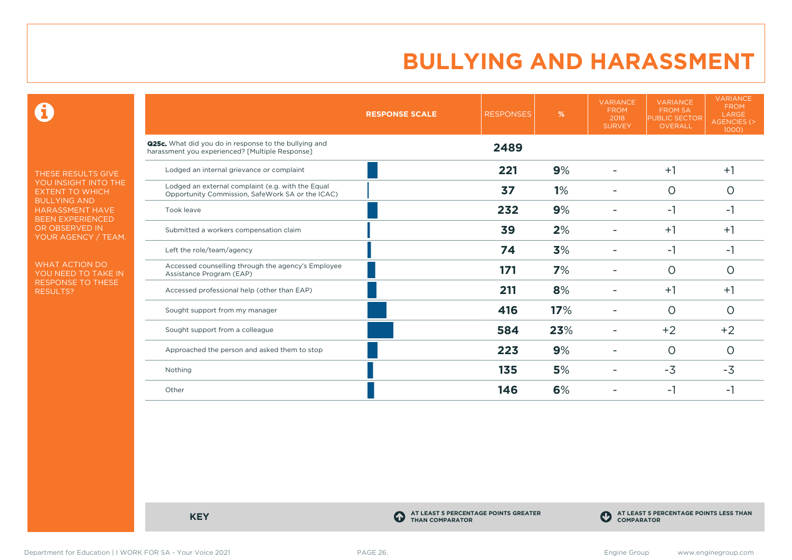$\mathbf \Theta$ 

THESE RESULTS GIVE YOU INSIGHT INTO THE EXTENT TO WHICH BULLYING AND HARASSMENT HAVE BEEN EXPERIENCED OR OBSERVED IN YOUR AGENCY / TEAM.

WHAT ACTION DO YOU NEED TO TAKE IN RESPONSE TO THESE RESULTS?

|                                                                                                          | <b>RESPONSE SCALE</b> | <b>RESPONSES</b> | $\%$ | <b>VARIANCE</b><br><b>FROM</b><br>2018<br><b>SURVEY</b> | <b>VARIANCE</b><br><b>FROM SA</b><br><b>PUBLIC SECTOR</b><br>OVERALL | <b>VARIANCE</b><br><b>FROM</b><br>LARGE<br>AGENCIES (><br>1000) |
|----------------------------------------------------------------------------------------------------------|-----------------------|------------------|------|---------------------------------------------------------|----------------------------------------------------------------------|-----------------------------------------------------------------|
| Q25c. What did you do in response to the bullying and<br>harassment you experienced? [Multiple Response] |                       | 2489             |      |                                                         |                                                                      |                                                                 |
| Lodged an internal grievance or complaint                                                                |                       | 221              | 9%   |                                                         | $+1$                                                                 | $+1$                                                            |
| Lodged an external complaint (e.g. with the Equal<br>Opportunity Commission, SafeWork SA or the ICAC)    |                       | 37               | 1%   |                                                         | $\circ$                                                              | O                                                               |
| Took leave                                                                                               |                       | 232              | 9%   |                                                         | $-1$                                                                 | -1                                                              |
| Submitted a workers compensation claim                                                                   |                       | 39               | 2%   |                                                         | $+1$                                                                 | $+1$                                                            |
| Left the role/team/agency                                                                                |                       | 74               | 3%   |                                                         | $-1$                                                                 | $-1$                                                            |
| Accessed counselling through the agency's Employee<br>Assistance Program (EAP)                           |                       | 171              | 7%   |                                                         | $\circ$                                                              | 0                                                               |
| Accessed professional help (other than EAP)                                                              |                       | 211              | 8%   |                                                         | $+1$                                                                 | $+1$                                                            |
| Sought support from my manager                                                                           |                       | 416              | 17%  |                                                         | $\Omega$                                                             | O                                                               |
| Sought support from a colleague                                                                          |                       | 584              | 23%  |                                                         | $+2$                                                                 | $+2$                                                            |
| Approached the person and asked them to stop                                                             |                       | 223              | 9%   |                                                         | $\circ$                                                              | 0                                                               |
| Nothing                                                                                                  |                       | 135              | 5%   |                                                         | $-3$                                                                 | $-3$                                                            |
| Other                                                                                                    |                       | 146              | 6%   |                                                         | -1                                                                   | $-1$                                                            |

**KEY C** 

![](_page_25_Picture_7.jpeg)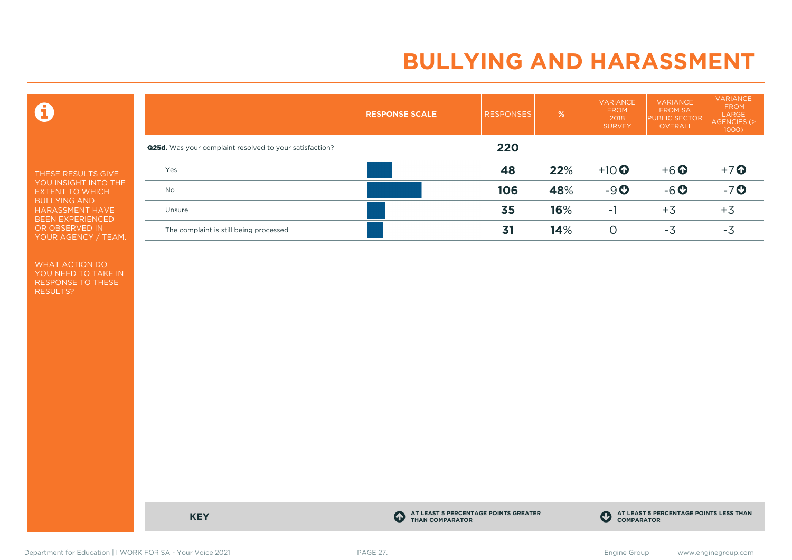$\mathbf \Theta$ 

THESE RESULTS GIVE YOU INSIGHT INTO THE EXTENT TO WHICH BULLYING AND HARASSMENT HAVE BEEN EXPERIENCED OR OBSERVED IN YOUR AGENCY / TEAM.

WHAT ACTION DO YOU NEED TO TAKE IN RESPONSE TO THESE RESULTS?

|                                                                | <b>RESPONSE SCALE</b> | <b>RESPONSES</b> | $\frac{9}{6}$ | <b>VARIANCE</b><br><b>FROM</b><br>2018<br><b>SURVEY</b> | <b>VARIANCE</b><br><b>FROM SA</b><br><b>PUBLIC SECTOR</b><br>OVERALL | <b>VARIANCE</b><br><b>FROM</b><br>LARGE<br>AGENCIES (><br>$1000$ ) |
|----------------------------------------------------------------|-----------------------|------------------|---------------|---------------------------------------------------------|----------------------------------------------------------------------|--------------------------------------------------------------------|
| <b>Q25d.</b> Was your complaint resolved to your satisfaction? |                       | 220              |               |                                                         |                                                                      |                                                                    |
| Yes                                                            |                       | 48               | 22%           | $+10$ <sup>O</sup>                                      | $+6$ $\odot$                                                         | $+7$                                                               |
| <b>No</b>                                                      |                       | 106              | 48%           | $-9O$                                                   | $-6o$                                                                | $-7o$                                                              |
| Unsure                                                         |                       | 35               | 16%           | ٠                                                       | $+3$                                                                 | $+3$                                                               |
| The complaint is still being processed                         |                       | 31               | 14%           |                                                         | $-3$                                                                 | $-3$                                                               |

**KEY C** 

**AT LEAST 5 PERCENTAGE POINTS GREATER THAN COMPARATOR**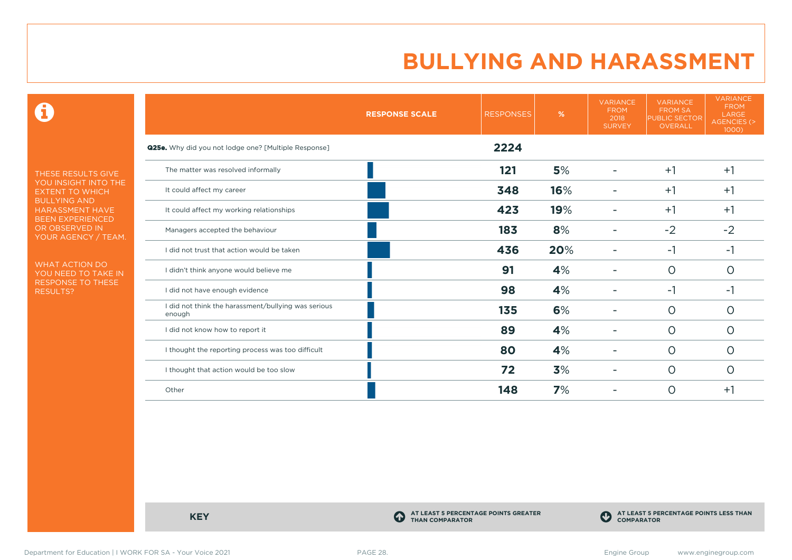$\mathbf \Theta$ 

THESE RESULTS GIVE YOU INSIGHT INTO THE EXTENT TO WHICH BULLYING AND HARASSMENT HAVE BEEN EXPERIENCED OR OBSERVED IN YOUR AGENCY / TEAM.

WHAT ACTION DO YOU NEED TO TAKE IN RESPONSE TO THESE RESULTS?

|                                                               | <b>RESPONSE SCALE</b> | <b>RESPONSES</b> | %   | <b>VARIANCE</b><br><b>FROM</b><br>2018<br><b>SURVEY</b> | <b>VARIANCE</b><br><b>FROM SA</b><br><b>PUBLIC SECTOR</b><br>OVERALL | <b>VARIANCE</b><br><b>FROM</b><br>LARGE<br>AGENCIES (><br>1000) |
|---------------------------------------------------------------|-----------------------|------------------|-----|---------------------------------------------------------|----------------------------------------------------------------------|-----------------------------------------------------------------|
| Q25e. Why did you not lodge one? [Multiple Response]          |                       | 2224             |     |                                                         |                                                                      |                                                                 |
| The matter was resolved informally                            |                       | 121              | 5%  | ۰                                                       | $+1$                                                                 | $+1$                                                            |
| It could affect my career                                     |                       | 348              | 16% |                                                         | $+1$                                                                 | $+1$                                                            |
| It could affect my working relationships                      |                       | 423              | 19% |                                                         | $+1$                                                                 | $+1$                                                            |
| Managers accepted the behaviour                               |                       | 183              | 8%  |                                                         | $-2$                                                                 | $-2$                                                            |
| I did not trust that action would be taken                    |                       | 436              | 20% |                                                         | $-1$                                                                 | -1                                                              |
| I didn't think anyone would believe me                        |                       | 91               | 4%  |                                                         | $\circ$                                                              | 0                                                               |
| I did not have enough evidence                                |                       | 98               | 4%  |                                                         | $-1$                                                                 | -1                                                              |
| I did not think the harassment/bullying was serious<br>enough |                       | 135              | 6%  |                                                         | $\Omega$                                                             | O                                                               |
| I did not know how to report it                               |                       | 89               | 4%  |                                                         | $\circ$                                                              | O                                                               |
| I thought the reporting process was too difficult             |                       | 80               | 4%  | ۰                                                       | $\circ$                                                              | 0                                                               |
| I thought that action would be too slow                       |                       | 72               | 3%  |                                                         | $\circ$                                                              | 0                                                               |
| Other                                                         |                       | 148              | 7%  |                                                         | $\circ$                                                              | $+1$                                                            |

**KEY C** 

![](_page_27_Picture_7.jpeg)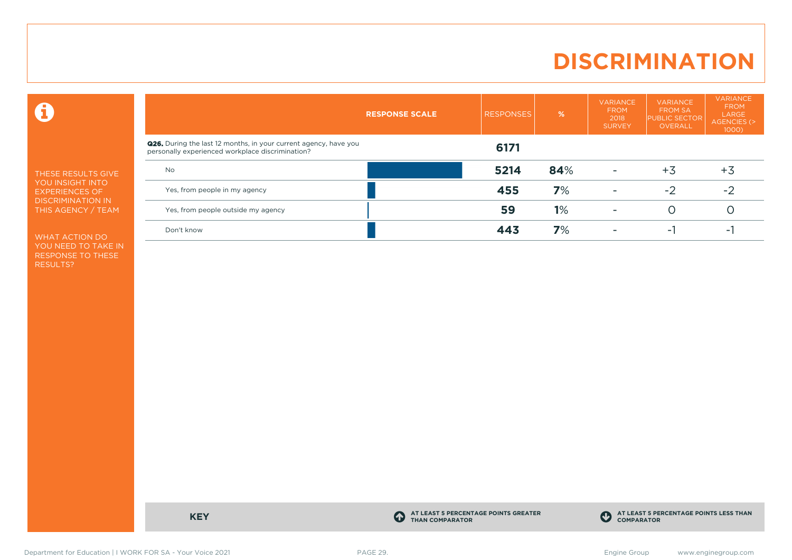# **DISCRIMINATION**

 $\mathbf \Theta$ 

THESE RESULTS GIVE YOU INSIGHT INTO EXPERIENCES OF DISCRIMINATION IN THIS AGENCY / TEAM

WHAT ACTION DO YOU NEED TO TAKE IN RESPONSE TO THESE RESULTS?

|                                                                                                                             | <b>RESPONSE SCALE</b> | <b>RESPONSES</b> | %   | <b>VARIANCE</b><br><b>FROM</b><br>2018<br><b>SURVEY</b> | <b>VARIANCE</b><br><b>FROM SA</b><br><b>PUBLIC SECTOR</b><br><b>OVERALL</b> | <b>VARIANCE</b><br><b>FROM</b><br>LARGE<br>AGENCIES (><br>$1000$ ) |
|-----------------------------------------------------------------------------------------------------------------------------|-----------------------|------------------|-----|---------------------------------------------------------|-----------------------------------------------------------------------------|--------------------------------------------------------------------|
| <b>Q26.</b> During the last 12 months, in your current agency, have you<br>personally experienced workplace discrimination? |                       | 6171             |     |                                                         |                                                                             |                                                                    |
| <b>No</b>                                                                                                                   |                       | 5214             | 84% |                                                         | $+3$                                                                        | $+3$                                                               |
| Yes, from people in my agency                                                                                               |                       | 455              | 7%  | $\overline{\phantom{a}}$                                | $-2$                                                                        | -2                                                                 |
| Yes, from people outside my agency                                                                                          |                       | 59               | 1%  | $\overline{\phantom{a}}$                                |                                                                             |                                                                    |
| Don't know                                                                                                                  |                       | 443              | 7%  | $\overline{\phantom{a}}$                                | - 1                                                                         | - 1                                                                |

**KEY C** 

![](_page_28_Picture_7.jpeg)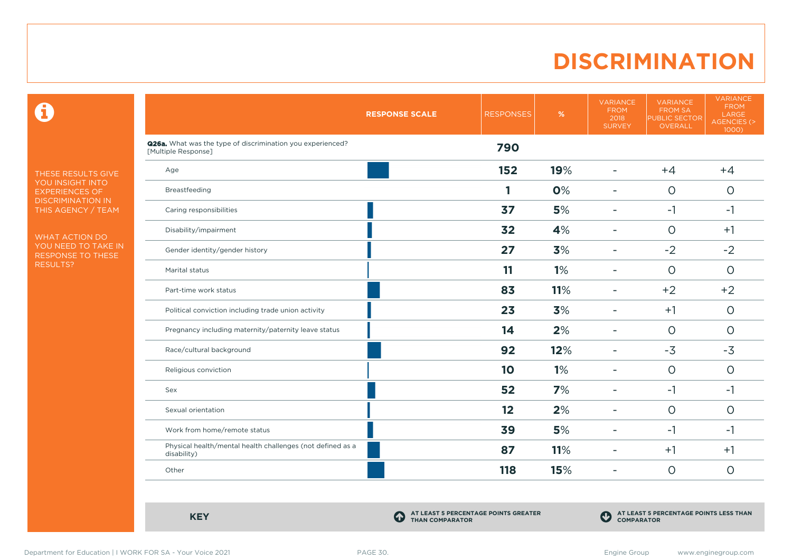# **DISCRIMINATION**

 $\mathbf \Theta$ 

THESE RESULTS GIVE YOU INSIGHT INTO EXPERIENCES OF DISCRIMINATION IN THIS AGENCY / TEAM

WHAT ACTION DO YOU NEED TO TAKE IN RESPONSE TO THESE RESULTS?

|                                                                                   | <b>RESPONSE SCALE</b> | <b>RESPONSES</b> | $\%$ | <b>VARIANCE</b><br><b>FROM</b><br>2018<br><b>SURVEY</b> | <b>VARIANCE</b><br><b>FROM SA</b><br><b>PUBLIC SECTOR</b><br>OVERALL | <b>VARIANCE</b><br><b>FROM</b><br>LARGE<br><b>AGENCIES (&gt;</b><br>1000 |
|-----------------------------------------------------------------------------------|-----------------------|------------------|------|---------------------------------------------------------|----------------------------------------------------------------------|--------------------------------------------------------------------------|
| Q26a. What was the type of discrimination you experienced?<br>[Multiple Response] |                       | 790              |      |                                                         |                                                                      |                                                                          |
| Age                                                                               |                       | 152              | 19%  | $\overline{\phantom{a}}$                                | $+4$                                                                 | $+4$                                                                     |
| Breastfeeding                                                                     |                       | 1                | 0%   | ٠                                                       | $\circ$                                                              | $\circ$                                                                  |
| Caring responsibilities                                                           |                       | 37               | 5%   | ÷                                                       | $-1$                                                                 | $-1$                                                                     |
| Disability/impairment                                                             |                       | 32               | 4%   | ٠                                                       | $\circ$                                                              | $+1$                                                                     |
| Gender identity/gender history                                                    |                       | 27               | 3%   | ٠                                                       | $-2$                                                                 | $-2$                                                                     |
| Marital status                                                                    |                       | 11               | 1%   |                                                         | $\circ$                                                              | $\circ$                                                                  |
| Part-time work status                                                             |                       | 83               | 11%  | ۰                                                       | $+2$                                                                 | $+2$                                                                     |
| Political conviction including trade union activity                               |                       | 23               | 3%   | ۰                                                       | $+1$                                                                 | $\circ$                                                                  |
| Pregnancy including maternity/paternity leave status                              |                       | 14               | 2%   | $\overline{\phantom{a}}$                                | $\circ$                                                              | $\Omega$                                                                 |
| Race/cultural background                                                          |                       | 92               | 12%  | ٠                                                       | $-3$                                                                 | $-3$                                                                     |
| Religious conviction                                                              |                       | 10               | 1%   | ٠                                                       | $\circ$                                                              | $\circ$                                                                  |
| Sex                                                                               |                       | 52               | 7%   | ÷                                                       | $-1$                                                                 | $-1$                                                                     |
| Sexual orientation                                                                |                       | 12               | 2%   | $\blacksquare$                                          | $\circ$                                                              | $\circ$                                                                  |
| Work from home/remote status                                                      |                       | 39               | 5%   | ٠                                                       | $-1$                                                                 | $-1$                                                                     |
| Physical health/mental health challenges (not defined as a<br>disability)         |                       | 87               | 11%  | $\overline{\phantom{a}}$                                | $+1$                                                                 | $+1$                                                                     |
| Other                                                                             |                       | 118              | 15%  | ۰                                                       | $\circ$                                                              | $\circ$                                                                  |

**KEY C** 

**AT LEAST 5 PERCENTAGE POINTS GREATER THAN COMPARATOR**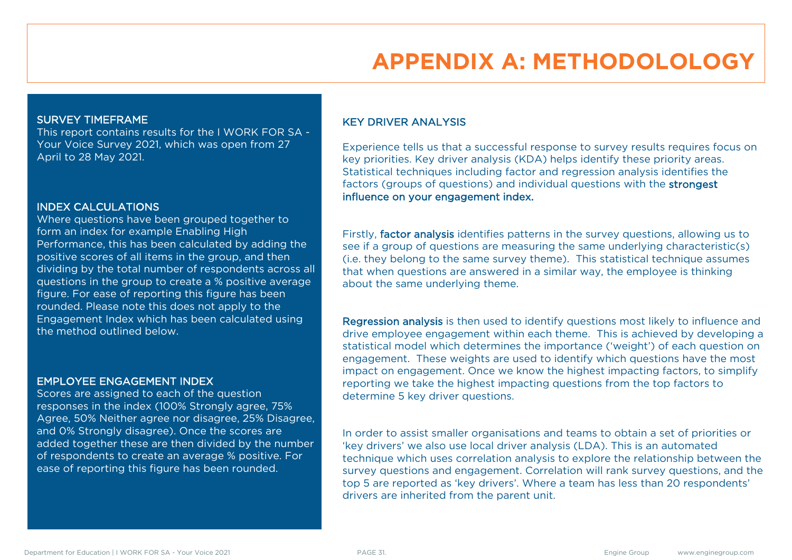# **APPENDIX A: METHODOLOLOGY**

#### SURVEY TIMEFRAME

This report contains results for the I WORK FOR SA - Your Voice Survey 2021, which was open from 27 April to 28 May 2021.

#### INDEX CALCULATIONS

Where questions have been grouped together to form an index for example Enabling High Performance, this has been calculated by adding the positive scores of all items in the group, and then dividing by the total number of respondents across all questions in the group to create a % positive average figure. For ease of reporting this figure has been rounded. Please note this does not apply to the Engagement Index which has been calculated using the method outlined below.

#### EMPLOYEE ENGAGEMENT INDEX

Scores are assigned to each of the question responses in the index (100% Strongly agree, 75% Agree, 50% Neither agree nor disagree, 25% Disagree, and 0% Strongly disagree). Once the scores are added together these are then divided by the number of respondents to create an average % positive. For ease of reporting this figure has been rounded.

### KEY DRIVER ANALYSIS

Experience tells us that a successful response to survey results requires focus on key priorities. Key driver analysis (KDA) helps identify these priority areas. Statistical techniques including factor and regression analysis identifies the factors (groups of questions) and individual questions with the strongest influence on your engagement index.

Firstly, factor analysis identifies patterns in the survey questions, allowing us to see if a group of questions are measuring the same underlying characteristic(s) (i.e. they belong to the same survey theme). This statistical technique assumes that when questions are answered in a similar way, the employee is thinking about the same underlying theme.

Regression analysis is then used to identify questions most likely to influence and drive employee engagement within each theme. This is achieved by developing a statistical model which determines the importance ('weight') of each question on engagement. These weights are used to identify which questions have the most impact on engagement. Once we know the highest impacting factors, to simplify reporting we take the highest impacting questions from the top factors to determine 5 key driver questions.

In order to assist smaller organisations and teams to obtain a set of priorities or 'key drivers' we also use local driver analysis (LDA). This is an automated technique which uses correlation analysis to explore the relationship between the survey questions and engagement. Correlation will rank survey questions, and the top 5 are reported as 'key drivers'. Where a team has less than 20 respondents' drivers are inherited from the parent unit.